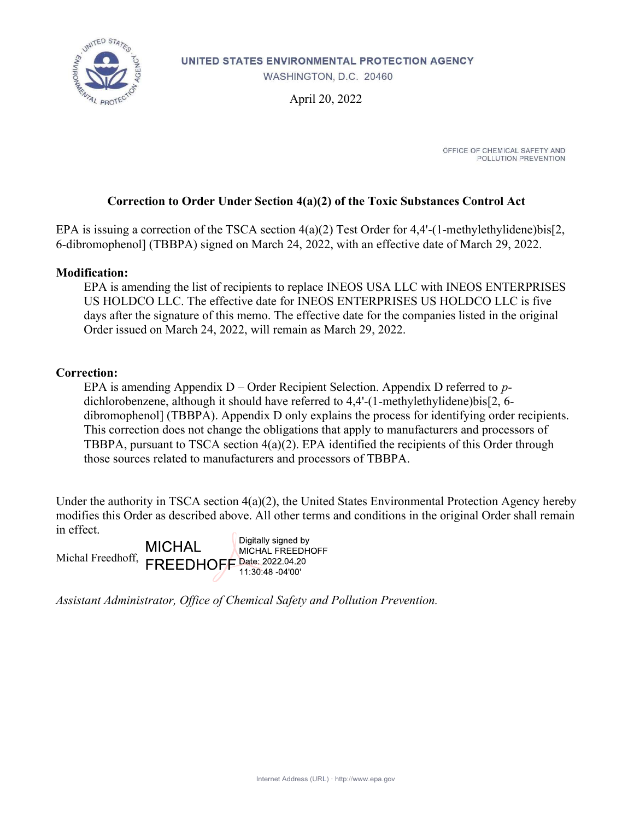

UNITED STATES ENVIRONMENTAL PROTECTION AGENCY

WASHINGTON, D.C. 20460

April 20, 2022

OFFICE OF CHEMICAL SAFETY AND POLLUTION PREVENTION

### Correction to Order Under Section 4(a)(2) of the Toxic Substances Control Act

EPA is issuing a correction of the TSCA section 4(a)(2) Test Order for 4,4'-(1-methylethylidene)bis[2, 6-dibromophenol] (TBBPA) signed on March 24, 2022, with an effective date of March 29, 2022.

#### Modification:

EPA is amending the list of recipients to replace INEOS USA LLC with INEOS ENTERPRISES US HOLDCO LLC. The effective date for INEOS ENTERPRISES US HOLDCO LLC is five days after the signature of this memo. The effective date for the companies listed in the original Order issued on March 24, 2022, will remain as March 29, 2022.

#### Correction:

EPA is amending Appendix  $D$  – Order Recipient Selection. Appendix D referred to pdichlorobenzene, although it should have referred to 4,4'-(1-methylethylidene)bis[2, 6 dibromophenol] (TBBPA). Appendix D only explains the process for identifying order recipients. This correction does not change the obligations that apply to manufacturers and processors of TBBPA, pursuant to TSCA section 4(a)(2). EPA identified the recipients of this Order through those sources related to manufacturers and processors of TBBPA.

Under the authority in TSCA section 4(a)(2), the United States Environmental Protection Agency hereby modifies this Order as described above. All other terms and conditions in the original Order shall remain in effect.

Digitally signed by **MICHAL** MICHAL FREEDHOFF Michal Freedhoff, **FREEDHOFF** Date: 2022.04.20 11:30:48 -04'00'

Assistant Administrator, Office of Chemical Safety and Pollution Prevention.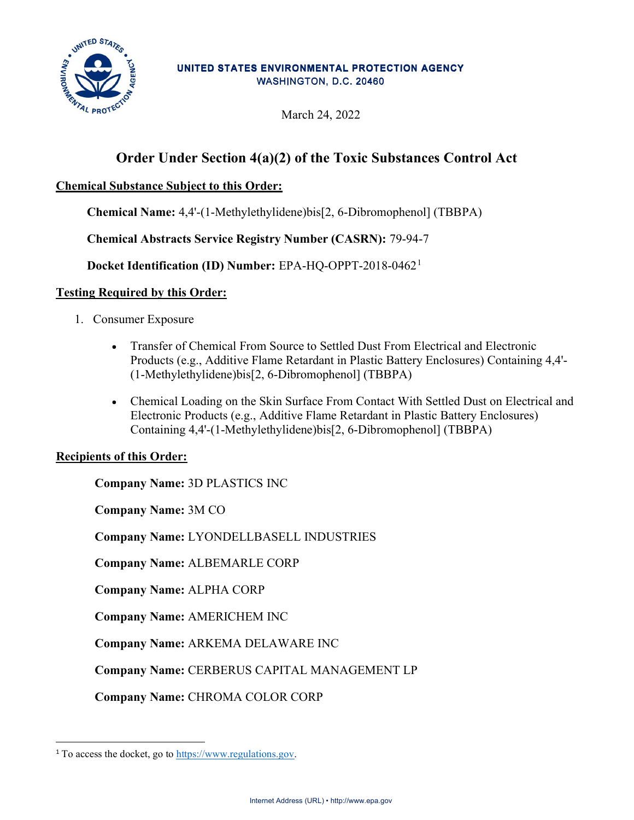

#### UNITED STATES ENVIRONMENTAL PROTECTION AGENCY WASHINGTON, D.C. 20460

March 24, 2022

# Order Under Section 4(a)(2) of the Toxic Substances Control Act

## Chemical Substance Subject to this Order:

Chemical Name: 4,4'-(1-Methylethylidene)bis[2, 6-Dibromophenol] (TBBPA)

Chemical Abstracts Service Registry Number (CASRN): 79-94-7

Docket Identification (ID) Number: EPA-HQ-OPPT-2018-0462<sup>1</sup>

## Testing Required by this Order:

- 1. Consumer Exposure
	- Transfer of Chemical From Source to Settled Dust From Electrical and Electronic Products (e.g., Additive Flame Retardant in Plastic Battery Enclosures) Containing 4,4'- (1-Methylethylidene)bis[2, 6-Dibromophenol] (TBBPA)
	- Chemical Loading on the Skin Surface From Contact With Settled Dust on Electrical and Electronic Products (e.g., Additive Flame Retardant in Plastic Battery Enclosures) Containing 4,4'-(1-Methylethylidene)bis[2, 6-Dibromophenol] (TBBPA)

## Recipients of this Order:

Company Name: 3D PLASTICS INC

Company Name: 3M CO

Company Name: LYONDELLBASELL INDUSTRIES

Company Name: ALBEMARLE CORP

Company Name: ALPHA CORP

Company Name: AMERICHEM INC

Company Name: ARKEMA DELAWARE INC

Company Name: CERBERUS CAPITAL MANAGEMENT LP

Company Name: CHROMA COLOR CORP

<sup>1</sup> To access the docket, go to https://www.regulations.gov.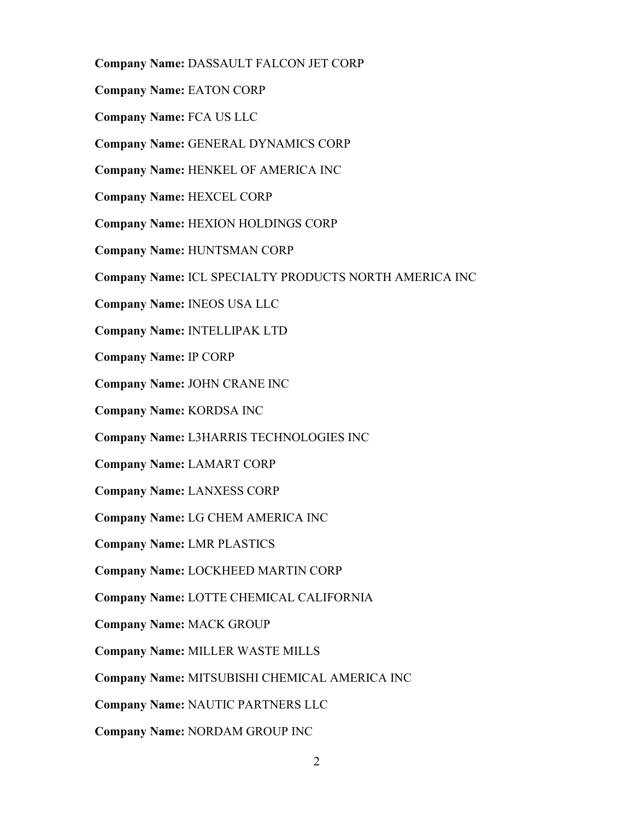- Company Name: DASSAULT FALCON JET CORP
- Company Name: EATON CORP
- Company Name: FCA US LLC
- Company Name: GENERAL DYNAMICS CORP
- Company Name: HENKEL OF AMERICA INC
- Company Name: HEXCEL CORP
- Company Name: HEXION HOLDINGS CORP
- Company Name: HUNTSMAN CORP
- Company Name: ICL SPECIALTY PRODUCTS NORTH AMERICA INC
- Company Name: INEOS USA LLC
- Company Name: INTELLIPAK LTD
- Company Name: IP CORP
- Company Name: JOHN CRANE INC
- Company Name: KORDSA INC
- Company Name: L3HARRIS TECHNOLOGIES INC
- Company Name: LAMART CORP
- Company Name: LANXESS CORP
- Company Name: LG CHEM AMERICA INC
- Company Name: LMR PLASTICS
- Company Name: LOCKHEED MARTIN CORP
- Company Name: LOTTE CHEMICAL CALIFORNIA
- Company Name: MACK GROUP
- Company Name: MILLER WASTE MILLS
- Company Name: MITSUBISHI CHEMICAL AMERICA INC
- Company Name: NAUTIC PARTNERS LLC
- Company Name: NORDAM GROUP INC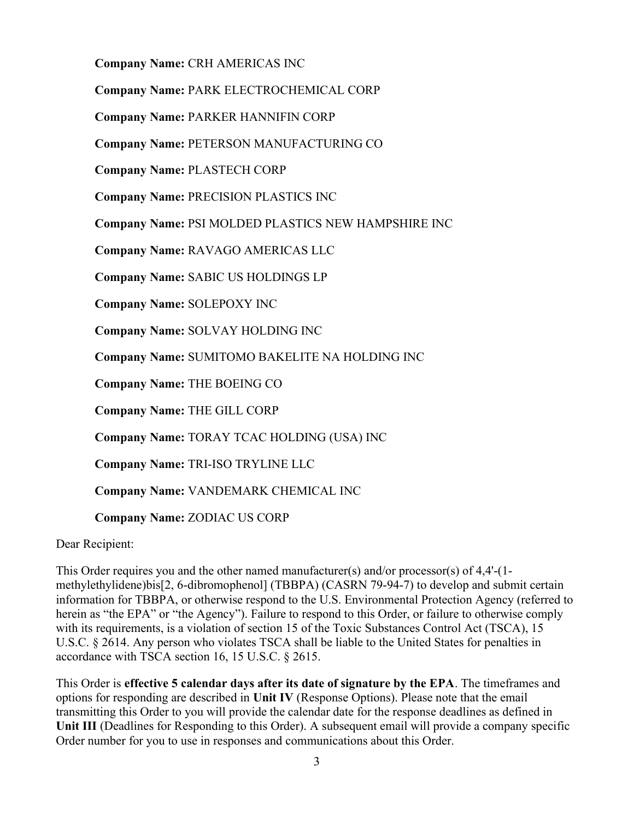Company Name: CRH AMERICAS INC

Company Name: PARK ELECTROCHEMICAL CORP

Company Name: PARKER HANNIFIN CORP

Company Name: PETERSON MANUFACTURING CO

Company Name: PLASTECH CORP

Company Name: PRECISION PLASTICS INC

Company Name: PSI MOLDED PLASTICS NEW HAMPSHIRE INC

Company Name: RAVAGO AMERICAS LLC

Company Name: SABIC US HOLDINGS LP

Company Name: SOLEPOXY INC

Company Name: SOLVAY HOLDING INC

Company Name: SUMITOMO BAKELITE NA HOLDING INC

Company Name: THE BOEING CO

Company Name: THE GILL CORP

Company Name: TORAY TCAC HOLDING (USA) INC

Company Name: TRI-ISO TRYLINE LLC

Company Name: VANDEMARK CHEMICAL INC

Company Name: ZODIAC US CORP

Dear Recipient:

This Order requires you and the other named manufacturer(s) and/or processor(s) of 4,4'-(1 methylethylidene)bis[2, 6-dibromophenol] (TBBPA) (CASRN 79-94-7) to develop and submit certain information for TBBPA, or otherwise respond to the U.S. Environmental Protection Agency (referred to herein as "the EPA" or "the Agency"). Failure to respond to this Order, or failure to otherwise comply with its requirements, is a violation of section 15 of the Toxic Substances Control Act (TSCA), 15 U.S.C. § 2614. Any person who violates TSCA shall be liable to the United States for penalties in accordance with TSCA section 16, 15 U.S.C. § 2615.

This Order is effective 5 calendar days after its date of signature by the EPA. The timeframes and options for responding are described in Unit IV (Response Options). Please note that the email transmitting this Order to you will provide the calendar date for the response deadlines as defined in Unit III (Deadlines for Responding to this Order). A subsequent email will provide a company specific Order number for you to use in responses and communications about this Order.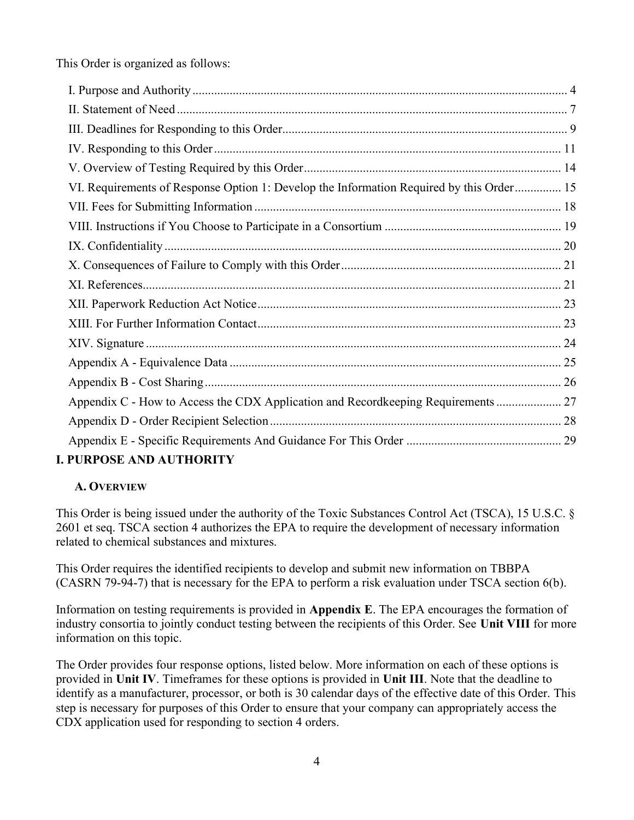This Order is organized as follows:

| VI. Requirements of Response Option 1: Develop the Information Required by this Order 15 |  |
|------------------------------------------------------------------------------------------|--|
|                                                                                          |  |
|                                                                                          |  |
|                                                                                          |  |
|                                                                                          |  |
|                                                                                          |  |
|                                                                                          |  |
|                                                                                          |  |
|                                                                                          |  |
|                                                                                          |  |
|                                                                                          |  |
| Appendix C - How to Access the CDX Application and Recordkeeping Requirements  27        |  |
|                                                                                          |  |
|                                                                                          |  |
| DIIDDACH AND AIRBIADHDV                                                                  |  |

# I. PURPOSE AND AUTHORITY

# A. OVERVIEW

This Order is being issued under the authority of the Toxic Substances Control Act (TSCA), 15 U.S.C. § 2601 et seq. TSCA section 4 authorizes the EPA to require the development of necessary information related to chemical substances and mixtures.

This Order requires the identified recipients to develop and submit new information on TBBPA (CASRN 79-94-7) that is necessary for the EPA to perform a risk evaluation under TSCA section 6(b).

Information on testing requirements is provided in Appendix E. The EPA encourages the formation of industry consortia to jointly conduct testing between the recipients of this Order. See Unit VIII for more information on this topic.

The Order provides four response options, listed below. More information on each of these options is provided in Unit IV. Timeframes for these options is provided in Unit III. Note that the deadline to identify as a manufacturer, processor, or both is 30 calendar days of the effective date of this Order. This step is necessary for purposes of this Order to ensure that your company can appropriately access the CDX application used for responding to section 4 orders.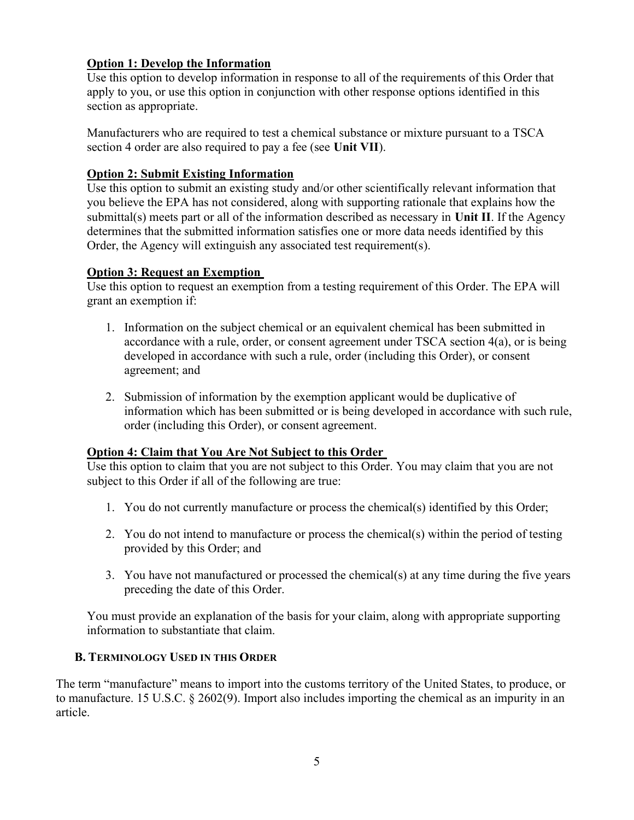## Option 1: Develop the Information

Use this option to develop information in response to all of the requirements of this Order that apply to you, or use this option in conjunction with other response options identified in this section as appropriate.

Manufacturers who are required to test a chemical substance or mixture pursuant to a TSCA section 4 order are also required to pay a fee (see Unit VII).

## Option 2: Submit Existing Information

Use this option to submit an existing study and/or other scientifically relevant information that you believe the EPA has not considered, along with supporting rationale that explains how the submittal(s) meets part or all of the information described as necessary in Unit II. If the Agency determines that the submitted information satisfies one or more data needs identified by this Order, the Agency will extinguish any associated test requirement(s).

## Option 3: Request an Exemption

Use this option to request an exemption from a testing requirement of this Order. The EPA will grant an exemption if:

- 1. Information on the subject chemical or an equivalent chemical has been submitted in accordance with a rule, order, or consent agreement under TSCA section 4(a), or is being developed in accordance with such a rule, order (including this Order), or consent agreement; and
- 2. Submission of information by the exemption applicant would be duplicative of information which has been submitted or is being developed in accordance with such rule, order (including this Order), or consent agreement.

## Option 4: Claim that You Are Not Subject to this Order

Use this option to claim that you are not subject to this Order. You may claim that you are not subject to this Order if all of the following are true:

- 1. You do not currently manufacture or process the chemical(s) identified by this Order;
- 2. You do not intend to manufacture or process the chemical(s) within the period of testing provided by this Order; and
- 3. You have not manufactured or processed the chemical(s) at any time during the five years preceding the date of this Order.

You must provide an explanation of the basis for your claim, along with appropriate supporting information to substantiate that claim.

## B. TERMINOLOGY USED IN THIS ORDER

The term "manufacture" means to import into the customs territory of the United States, to produce, or to manufacture. 15 U.S.C. § 2602(9). Import also includes importing the chemical as an impurity in an article.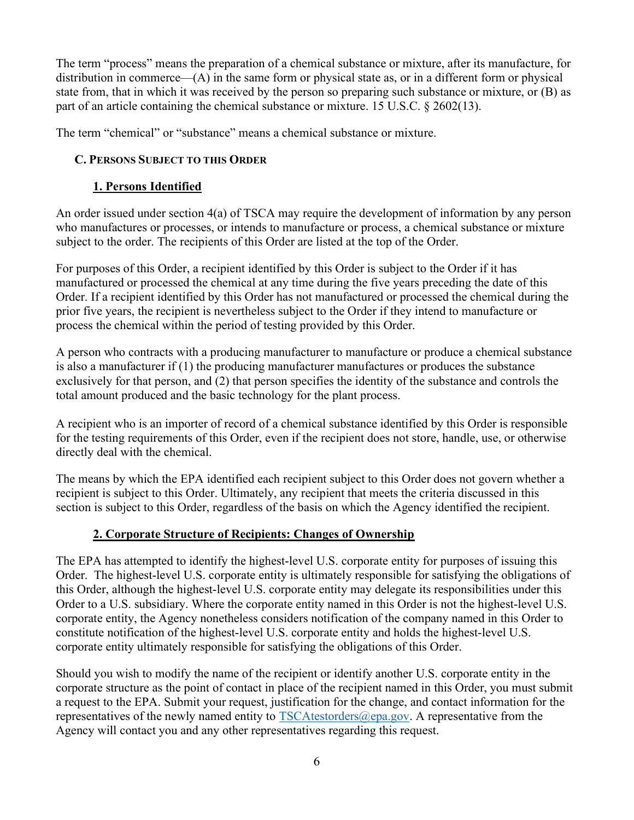The term "process" means the preparation of a chemical substance or mixture, after its manufacture, for distribution in commerce—(A) in the same form or physical state as, or in a different form or physical state from, that in which it was received by the person so preparing such substance or mixture, or (B) as part of an article containing the chemical substance or mixture. 15 U.S.C.  $\S 2602(13)$ .

The term "chemical" or "substance" means a chemical substance or mixture.

## C. PERSONS SUBJECT TO THIS ORDER

## 1. Persons Identified

An order issued under section 4(a) of TSCA may require the development of information by any person who manufactures or processes, or intends to manufacture or process, a chemical substance or mixture subject to the order. The recipients of this Order are listed at the top of the Order.

For purposes of this Order, a recipient identified by this Order is subject to the Order if it has manufactured or processed the chemical at any time during the five years preceding the date of this Order. If a recipient identified by this Order has not manufactured or processed the chemical during the prior five years, the recipient is nevertheless subject to the Order if they intend to manufacture or process the chemical within the period of testing provided by this Order.

A person who contracts with a producing manufacturer to manufacture or produce a chemical substance is also a manufacturer if (1) the producing manufacturer manufactures or produces the substance exclusively for that person, and (2) that person specifies the identity of the substance and controls the total amount produced and the basic technology for the plant process.

A recipient who is an importer of record of a chemical substance identified by this Order is responsible for the testing requirements of this Order, even if the recipient does not store, handle, use, or otherwise directly deal with the chemical.

The means by which the EPA identified each recipient subject to this Order does not govern whether a recipient is subject to this Order. Ultimately, any recipient that meets the criteria discussed in this section is subject to this Order, regardless of the basis on which the Agency identified the recipient.

# 2. Corporate Structure of Recipients: Changes of Ownership

The EPA has attempted to identify the highest-level U.S. corporate entity for purposes of issuing this Order. The highest-level U.S. corporate entity is ultimately responsible for satisfying the obligations of this Order, although the highest-level U.S. corporate entity may delegate its responsibilities under this Order to a U.S. subsidiary. Where the corporate entity named in this Order is not the highest-level U.S. corporate entity, the Agency nonetheless considers notification of the company named in this Order to constitute notification of the highest-level U.S. corporate entity and holds the highest-level U.S. corporate entity ultimately responsible for satisfying the obligations of this Order.

Should you wish to modify the name of the recipient or identify another U.S. corporate entity in the corporate structure as the point of contact in place of the recipient named in this Order, you must submit a request to the EPA. Submit your request, justification for the change, and contact information for the representatives of the newly named entity to  $TSCAtestorders@epa.gov$ . A representative from the Agency will contact you and any other representatives regarding this request.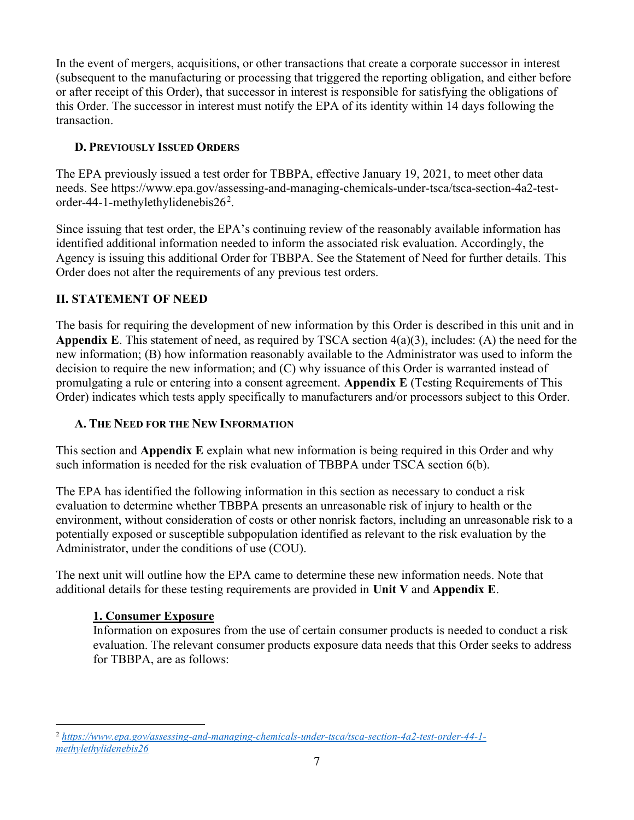In the event of mergers, acquisitions, or other transactions that create a corporate successor in interest (subsequent to the manufacturing or processing that triggered the reporting obligation, and either before or after receipt of this Order), that successor in interest is responsible for satisfying the obligations of this Order. The successor in interest must notify the EPA of its identity within 14 days following the transaction.

# D. PREVIOUSLY ISSUED ORDERS

The EPA previously issued a test order for TBBPA, effective January 19, 2021, to meet other data needs. See https://www.epa.gov/assessing-and-managing-chemicals-under-tsca/tsca-section-4a2-testorder-44-1-methylethylidenebis $26^2$ .

Since issuing that test order, the EPA's continuing review of the reasonably available information has identified additional information needed to inform the associated risk evaluation. Accordingly, the Agency is issuing this additional Order for TBBPA. See the Statement of Need for further details. This Order does not alter the requirements of any previous test orders.

# II. STATEMENT OF NEED

The basis for requiring the development of new information by this Order is described in this unit and in Appendix E. This statement of need, as required by TSCA section  $4(a)(3)$ , includes: (A) the need for the new information; (B) how information reasonably available to the Administrator was used to inform the decision to require the new information; and (C) why issuance of this Order is warranted instead of promulgating a rule or entering into a consent agreement. Appendix E (Testing Requirements of This Order) indicates which tests apply specifically to manufacturers and/or processors subject to this Order.

# A. THE NEED FOR THE NEW INFORMATION

This section and **Appendix E** explain what new information is being required in this Order and why such information is needed for the risk evaluation of TBBPA under TSCA section 6(b).

The EPA has identified the following information in this section as necessary to conduct a risk evaluation to determine whether TBBPA presents an unreasonable risk of injury to health or the environment, without consideration of costs or other nonrisk factors, including an unreasonable risk to a potentially exposed or susceptible subpopulation identified as relevant to the risk evaluation by the Administrator, under the conditions of use (COU).

The next unit will outline how the EPA came to determine these new information needs. Note that additional details for these testing requirements are provided in Unit V and Appendix E.

# 1. Consumer Exposure

Information on exposures from the use of certain consumer products is needed to conduct a risk evaluation. The relevant consumer products exposure data needs that this Order seeks to address for TBBPA, are as follows:

<sup>2</sup> https://www.epa.gov/assessing-and-managing-chemicals-under-tsca/tsca-section-4a2-test-order-44-1 methylethylidenebis26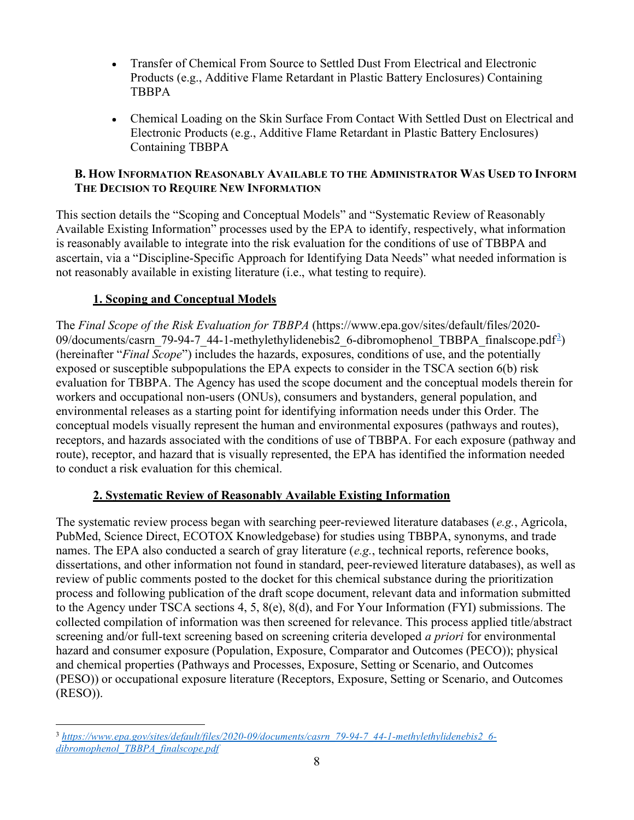- Transfer of Chemical From Source to Settled Dust From Electrical and Electronic  $\bullet$ Products (e.g., Additive Flame Retardant in Plastic Battery Enclosures) Containing TBBPA
- Chemical Loading on the Skin Surface From Contact With Settled Dust on Electrical and Electronic Products (e.g., Additive Flame Retardant in Plastic Battery Enclosures) Containing TBBPA

## B. HOW INFORMATION REASONABLY AVAILABLE TO THE ADMINISTRATOR WAS USED TO INFORM THE DECISION TO REQUIRE NEW INFORMATION

This section details the "Scoping and Conceptual Models" and "Systematic Review of Reasonably Available Existing Information" processes used by the EPA to identify, respectively, what information is reasonably available to integrate into the risk evaluation for the conditions of use of TBBPA and ascertain, via a "Discipline-Specific Approach for Identifying Data Needs" what needed information is not reasonably available in existing literature (i.e., what testing to require).

# 1. Scoping and Conceptual Models

The Final Scope of the Risk Evaluation for TBBPA (https://www.epa.gov/sites/default/files/2020- 09/documents/casrn 79-94-7 44-1-methylethylidenebis2 6-dibromophenol TBBPA finalscope.pdf<sup>3</sup>) (hereinafter "Final Scope") includes the hazards, exposures, conditions of use, and the potentially exposed or susceptible subpopulations the EPA expects to consider in the TSCA section 6(b) risk evaluation for TBBPA. The Agency has used the scope document and the conceptual models therein for workers and occupational non-users (ONUs), consumers and bystanders, general population, and environmental releases as a starting point for identifying information needs under this Order. The conceptual models visually represent the human and environmental exposures (pathways and routes), receptors, and hazards associated with the conditions of use of TBBPA. For each exposure (pathway and route), receptor, and hazard that is visually represented, the EPA has identified the information needed to conduct a risk evaluation for this chemical.

# 2. Systematic Review of Reasonably Available Existing Information

The systematic review process began with searching peer-reviewed literature databases (e.g., Agricola, PubMed, Science Direct, ECOTOX Knowledgebase) for studies using TBBPA, synonyms, and trade names. The EPA also conducted a search of gray literature (e.g., technical reports, reference books, dissertations, and other information not found in standard, peer-reviewed literature databases), as well as review of public comments posted to the docket for this chemical substance during the prioritization process and following publication of the draft scope document, relevant data and information submitted to the Agency under TSCA sections 4, 5, 8(e), 8(d), and For Your Information (FYI) submissions. The collected compilation of information was then screened for relevance. This process applied title/abstract screening and/or full-text screening based on screening criteria developed *a priori* for environmental hazard and consumer exposure (Population, Exposure, Comparator and Outcomes (PECO)); physical and chemical properties (Pathways and Processes, Exposure, Setting or Scenario, and Outcomes (PESO)) or occupational exposure literature (Receptors, Exposure, Setting or Scenario, and Outcomes (RESO)).

<sup>3</sup> https://www.epa.gov/sites/default/files/2020-09/documents/casrn\_79-94-7\_44-1-methylethylidenebis2\_6 dibromophenol\_TBBPA\_finalscope.pdf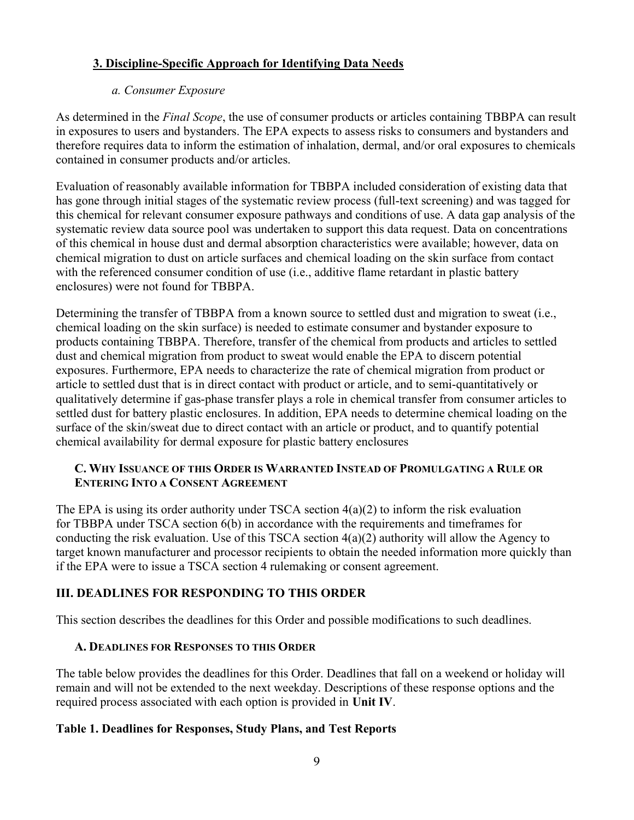## 3. Discipline-Specific Approach for Identifying Data Needs

### a. Consumer Exposure

As determined in the *Final Scope*, the use of consumer products or articles containing TBBPA can result in exposures to users and bystanders. The EPA expects to assess risks to consumers and bystanders and therefore requires data to inform the estimation of inhalation, dermal, and/or oral exposures to chemicals contained in consumer products and/or articles.

Evaluation of reasonably available information for TBBPA included consideration of existing data that has gone through initial stages of the systematic review process (full-text screening) and was tagged for this chemical for relevant consumer exposure pathways and conditions of use. A data gap analysis of the systematic review data source pool was undertaken to support this data request. Data on concentrations of this chemical in house dust and dermal absorption characteristics were available; however, data on chemical migration to dust on article surfaces and chemical loading on the skin surface from contact with the referenced consumer condition of use (i.e., additive flame retardant in plastic battery enclosures) were not found for TBBPA.

Determining the transfer of TBBPA from a known source to settled dust and migration to sweat (i.e., chemical loading on the skin surface) is needed to estimate consumer and bystander exposure to products containing TBBPA. Therefore, transfer of the chemical from products and articles to settled dust and chemical migration from product to sweat would enable the EPA to discern potential exposures. Furthermore, EPA needs to characterize the rate of chemical migration from product or article to settled dust that is in direct contact with product or article, and to semi-quantitatively or qualitatively determine if gas-phase transfer plays a role in chemical transfer from consumer articles to settled dust for battery plastic enclosures. In addition, EPA needs to determine chemical loading on the surface of the skin/sweat due to direct contact with an article or product, and to quantify potential chemical availability for dermal exposure for plastic battery enclosures

## C. WHY ISSUANCE OF THIS ORDER IS WARRANTED INSTEAD OF PROMULGATING A RULE OR ENTERING INTO A CONSENT AGREEMENT

The EPA is using its order authority under TSCA section 4(a)(2) to inform the risk evaluation for TBBPA under TSCA section 6(b) in accordance with the requirements and timeframes for conducting the risk evaluation. Use of this TSCA section 4(a)(2) authority will allow the Agency to target known manufacturer and processor recipients to obtain the needed information more quickly than if the EPA were to issue a TSCA section 4 rulemaking or consent agreement.

# III. DEADLINES FOR RESPONDING TO THIS ORDER

This section describes the deadlines for this Order and possible modifications to such deadlines.

## A. DEADLINES FOR RESPONSES TO THIS ORDER

The table below provides the deadlines for this Order. Deadlines that fall on a weekend or holiday will remain and will not be extended to the next weekday. Descriptions of these response options and the required process associated with each option is provided in Unit IV.

## Table 1. Deadlines for Responses, Study Plans, and Test Reports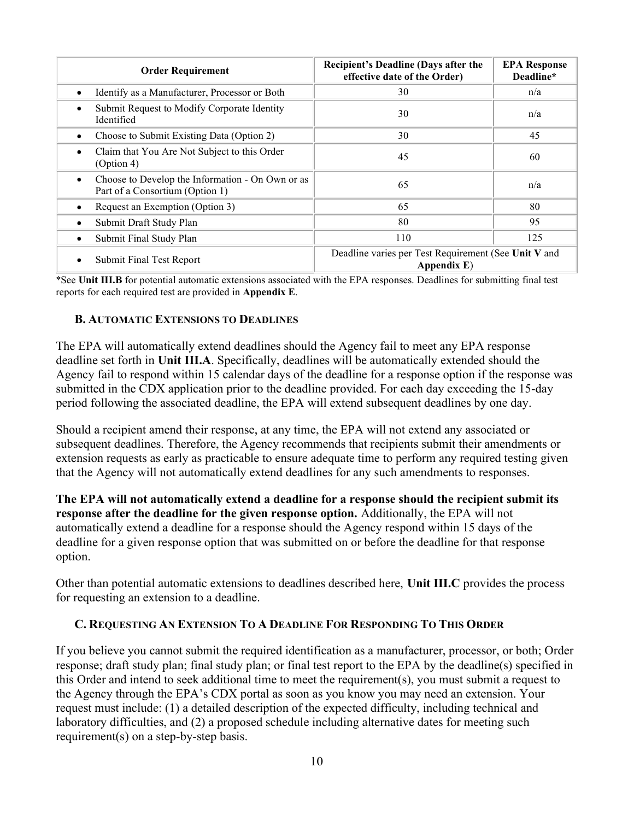| <b>Order Requirement</b>                                                                         | <b>Recipient's Deadline (Days after the</b><br>effective date of the Order) | <b>EPA Response</b><br>Deadline* |
|--------------------------------------------------------------------------------------------------|-----------------------------------------------------------------------------|----------------------------------|
| Identify as a Manufacturer, Processor or Both<br>$\bullet$                                       | 30                                                                          | n/a                              |
| Submit Request to Modify Corporate Identity<br>$\bullet$<br>Identified                           | 30                                                                          | n/a                              |
| Choose to Submit Existing Data (Option 2)<br>٠                                                   | 30                                                                          | 45                               |
| Claim that You Are Not Subject to this Order<br>$\bullet$<br>(Option 4)                          | 45                                                                          | 60                               |
| Choose to Develop the Information - On Own or as<br>$\bullet$<br>Part of a Consortium (Option 1) | 65                                                                          | n/a                              |
| Request an Exemption (Option 3)<br>٠                                                             | 65                                                                          | 80                               |
| Submit Draft Study Plan<br>$\bullet$                                                             | 80                                                                          | 95                               |
| Submit Final Study Plan<br>٠                                                                     | 110                                                                         | 125                              |
| Submit Final Test Report<br>٠                                                                    | Deadline varies per Test Requirement (See Unit V and<br>Appendix $E$ )      |                                  |

\*See Unit III.B for potential automatic extensions associated with the EPA responses. Deadlines for submitting final test reports for each required test are provided in Appendix E.

## B. AUTOMATIC EXTENSIONS TO DEADLINES

The EPA will automatically extend deadlines should the Agency fail to meet any EPA response deadline set forth in Unit III.A. Specifically, deadlines will be automatically extended should the Agency fail to respond within 15 calendar days of the deadline for a response option if the response was submitted in the CDX application prior to the deadline provided. For each day exceeding the 15-day period following the associated deadline, the EPA will extend subsequent deadlines by one day.

Should a recipient amend their response, at any time, the EPA will not extend any associated or subsequent deadlines. Therefore, the Agency recommends that recipients submit their amendments or extension requests as early as practicable to ensure adequate time to perform any required testing given that the Agency will not automatically extend deadlines for any such amendments to responses.

The EPA will not automatically extend a deadline for a response should the recipient submit its response after the deadline for the given response option. Additionally, the EPA will not automatically extend a deadline for a response should the Agency respond within 15 days of the deadline for a given response option that was submitted on or before the deadline for that response option.

Other than potential automatic extensions to deadlines described here, Unit III.C provides the process for requesting an extension to a deadline.

#### C. REQUESTING AN EXTENSION TO A DEADLINE FOR RESPONDING TO THIS ORDER

If you believe you cannot submit the required identification as a manufacturer, processor, or both; Order response; draft study plan; final study plan; or final test report to the EPA by the deadline(s) specified in this Order and intend to seek additional time to meet the requirement(s), you must submit a request to the Agency through the EPA's CDX portal as soon as you know you may need an extension. Your request must include: (1) a detailed description of the expected difficulty, including technical and laboratory difficulties, and (2) a proposed schedule including alternative dates for meeting such requirement(s) on a step-by-step basis.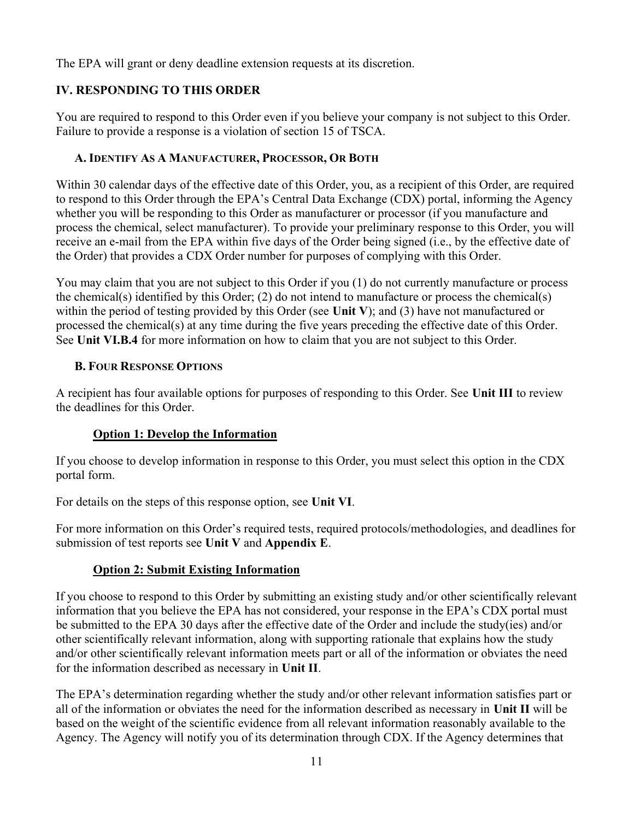The EPA will grant or deny deadline extension requests at its discretion.

# IV. RESPONDING TO THIS ORDER

You are required to respond to this Order even if you believe your company is not subject to this Order. Failure to provide a response is a violation of section 15 of TSCA.

# A. IDENTIFY AS A MANUFACTURER, PROCESSOR, OR BOTH

Within 30 calendar days of the effective date of this Order, you, as a recipient of this Order, are required to respond to this Order through the EPA's Central Data Exchange (CDX) portal, informing the Agency whether you will be responding to this Order as manufacturer or processor (if you manufacture and process the chemical, select manufacturer). To provide your preliminary response to this Order, you will receive an e-mail from the EPA within five days of the Order being signed (i.e., by the effective date of the Order) that provides a CDX Order number for purposes of complying with this Order.

You may claim that you are not subject to this Order if you (1) do not currently manufacture or process the chemical(s) identified by this Order; (2) do not intend to manufacture or process the chemical(s) within the period of testing provided by this Order (see Unit V); and (3) have not manufactured or processed the chemical(s) at any time during the five years preceding the effective date of this Order. See Unit VI.B.4 for more information on how to claim that you are not subject to this Order.

# B. FOUR RESPONSE OPTIONS

A recipient has four available options for purposes of responding to this Order. See Unit III to review the deadlines for this Order.

# Option 1: Develop the Information

If you choose to develop information in response to this Order, you must select this option in the CDX portal form.

For details on the steps of this response option, see Unit VI.

For more information on this Order's required tests, required protocols/methodologies, and deadlines for submission of test reports see Unit V and Appendix E.

# Option 2: Submit Existing Information

If you choose to respond to this Order by submitting an existing study and/or other scientifically relevant information that you believe the EPA has not considered, your response in the EPA's CDX portal must be submitted to the EPA 30 days after the effective date of the Order and include the study(ies) and/or other scientifically relevant information, along with supporting rationale that explains how the study and/or other scientifically relevant information meets part or all of the information or obviates the need for the information described as necessary in Unit II.

The EPA's determination regarding whether the study and/or other relevant information satisfies part or all of the information or obviates the need for the information described as necessary in Unit II will be based on the weight of the scientific evidence from all relevant information reasonably available to the Agency. The Agency will notify you of its determination through CDX. If the Agency determines that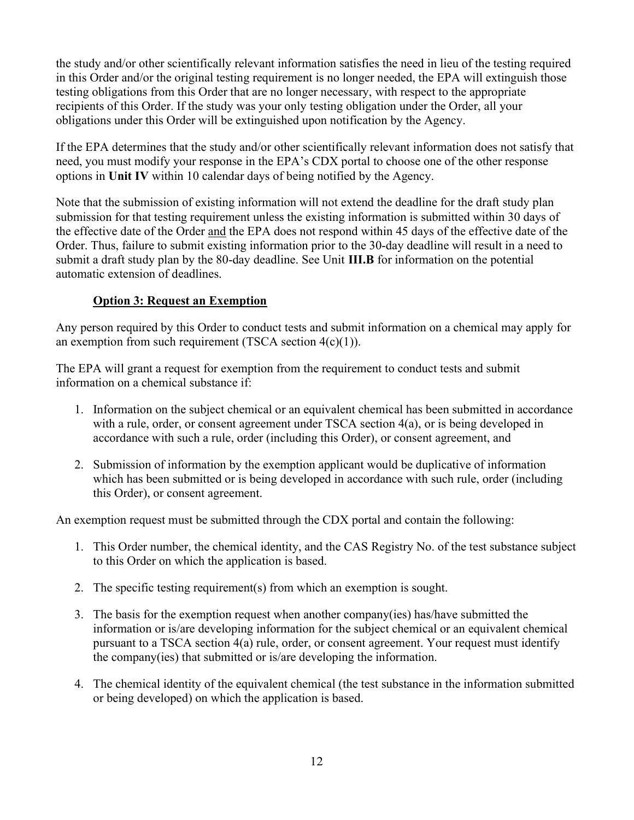the study and/or other scientifically relevant information satisfies the need in lieu of the testing required in this Order and/or the original testing requirement is no longer needed, the EPA will extinguish those testing obligations from this Order that are no longer necessary, with respect to the appropriate recipients of this Order. If the study was your only testing obligation under the Order, all your obligations under this Order will be extinguished upon notification by the Agency.

If the EPA determines that the study and/or other scientifically relevant information does not satisfy that need, you must modify your response in the EPA's CDX portal to choose one of the other response options in Unit IV within 10 calendar days of being notified by the Agency.

Note that the submission of existing information will not extend the deadline for the draft study plan submission for that testing requirement unless the existing information is submitted within 30 days of the effective date of the Order and the EPA does not respond within 45 days of the effective date of the Order. Thus, failure to submit existing information prior to the 30-day deadline will result in a need to submit a draft study plan by the 80-day deadline. See Unit III.B for information on the potential automatic extension of deadlines.

## Option 3: Request an Exemption

Any person required by this Order to conduct tests and submit information on a chemical may apply for an exemption from such requirement (TSCA section  $4(c)(1)$ ).

The EPA will grant a request for exemption from the requirement to conduct tests and submit information on a chemical substance if:

- 1. Information on the subject chemical or an equivalent chemical has been submitted in accordance with a rule, order, or consent agreement under TSCA section 4(a), or is being developed in accordance with such a rule, order (including this Order), or consent agreement, and
- 2. Submission of information by the exemption applicant would be duplicative of information which has been submitted or is being developed in accordance with such rule, order (including this Order), or consent agreement.

An exemption request must be submitted through the CDX portal and contain the following:

- 1. This Order number, the chemical identity, and the CAS Registry No. of the test substance subject to this Order on which the application is based.
- 2. The specific testing requirement(s) from which an exemption is sought.
- 3. The basis for the exemption request when another company(ies) has/have submitted the information or is/are developing information for the subject chemical or an equivalent chemical pursuant to a TSCA section 4(a) rule, order, or consent agreement. Your request must identify the company(ies) that submitted or is/are developing the information.
- 4. The chemical identity of the equivalent chemical (the test substance in the information submitted or being developed) on which the application is based.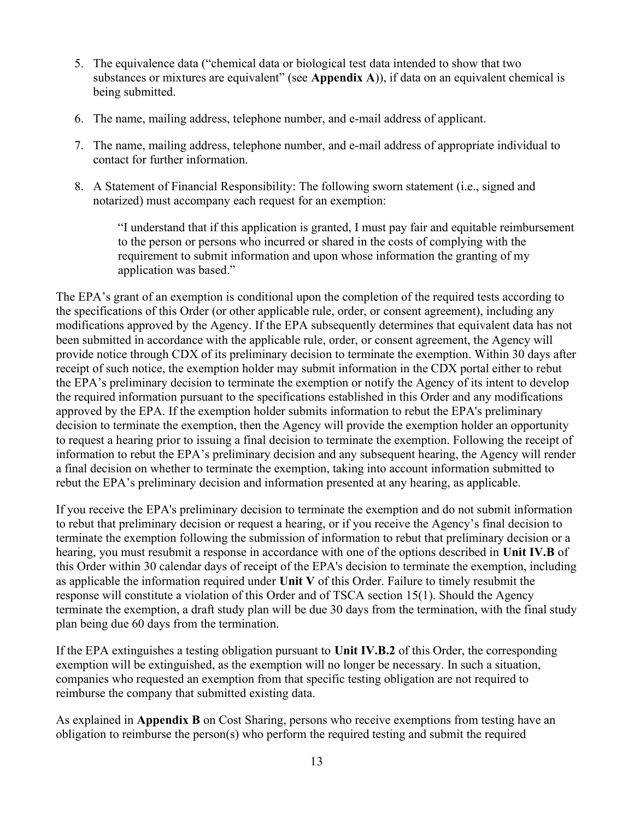- 5. The equivalence data ("chemical data or biological test data intended to show that two substances or mixtures are equivalent" (see Appendix A)), if data on an equivalent chemical is being submitted.
- 6. The name, mailing address, telephone number, and e-mail address of applicant.
- 7. The name, mailing address, telephone number, and e-mail address of appropriate individual to contact for further information.
- 8. A Statement of Financial Responsibility: The following sworn statement (i.e., signed and notarized) must accompany each request for an exemption:

"I understand that if this application is granted, I must pay fair and equitable reimbursement to the person or persons who incurred or shared in the costs of complying with the requirement to submit information and upon whose information the granting of my application was based."

The EPA's grant of an exemption is conditional upon the completion of the required tests according to the specifications of this Order (or other applicable rule, order, or consent agreement), including any modifications approved by the Agency. If the EPA subsequently determines that equivalent data has not been submitted in accordance with the applicable rule, order, or consent agreement, the Agency will provide notice through CDX of its preliminary decision to terminate the exemption. Within 30 days after receipt of such notice, the exemption holder may submit information in the CDX portal either to rebut the EPA's preliminary decision to terminate the exemption or notify the Agency of its intent to develop the required information pursuant to the specifications established in this Order and any modifications approved by the EPA. If the exemption holder submits information to rebut the EPA's preliminary decision to terminate the exemption, then the Agency will provide the exemption holder an opportunity to request a hearing prior to issuing a final decision to terminate the exemption. Following the receipt of information to rebut the EPA's preliminary decision and any subsequent hearing, the Agency will render a final decision on whether to terminate the exemption, taking into account information submitted to rebut the EPA's preliminary decision and information presented at any hearing, as applicable.

If you receive the EPA's preliminary decision to terminate the exemption and do not submit information to rebut that preliminary decision or request a hearing, or if you receive the Agency's final decision to terminate the exemption following the submission of information to rebut that preliminary decision or a hearing, you must resubmit a response in accordance with one of the options described in Unit IV.B of this Order within 30 calendar days of receipt of the EPA's decision to terminate the exemption, including as applicable the information required under Unit V of this Order. Failure to timely resubmit the response will constitute a violation of this Order and of TSCA section 15(1). Should the Agency terminate the exemption, a draft study plan will be due 30 days from the termination, with the final study plan being due 60 days from the termination.

If the EPA extinguishes a testing obligation pursuant to Unit IV.B.2 of this Order, the corresponding exemption will be extinguished, as the exemption will no longer be necessary. In such a situation, companies who requested an exemption from that specific testing obligation are not required to reimburse the company that submitted existing data.

As explained in Appendix B on Cost Sharing, persons who receive exemptions from testing have an obligation to reimburse the person(s) who perform the required testing and submit the required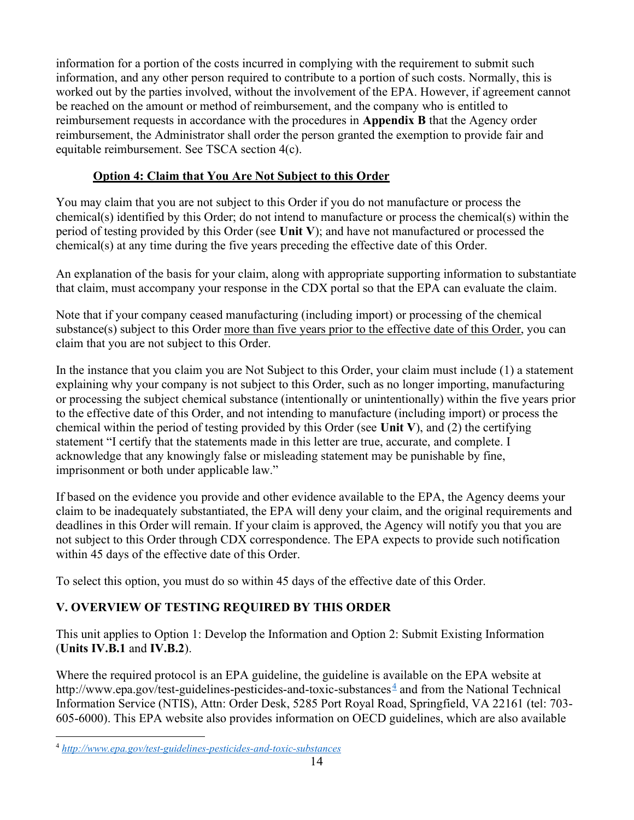information for a portion of the costs incurred in complying with the requirement to submit such information, and any other person required to contribute to a portion of such costs. Normally, this is worked out by the parties involved, without the involvement of the EPA. However, if agreement cannot be reached on the amount or method of reimbursement, and the company who is entitled to reimbursement requests in accordance with the procedures in Appendix B that the Agency order reimbursement, the Administrator shall order the person granted the exemption to provide fair and equitable reimbursement. See TSCA section 4(c).

## Option 4: Claim that You Are Not Subject to this Order

You may claim that you are not subject to this Order if you do not manufacture or process the chemical(s) identified by this Order; do not intend to manufacture or process the chemical(s) within the period of testing provided by this Order (see Unit V); and have not manufactured or processed the chemical(s) at any time during the five years preceding the effective date of this Order.

An explanation of the basis for your claim, along with appropriate supporting information to substantiate that claim, must accompany your response in the CDX portal so that the EPA can evaluate the claim.

Note that if your company ceased manufacturing (including import) or processing of the chemical substance(s) subject to this Order more than five years prior to the effective date of this Order, you can claim that you are not subject to this Order.

In the instance that you claim you are Not Subject to this Order, your claim must include (1) a statement explaining why your company is not subject to this Order, such as no longer importing, manufacturing or processing the subject chemical substance (intentionally or unintentionally) within the five years prior to the effective date of this Order, and not intending to manufacture (including import) or process the chemical within the period of testing provided by this Order (see Unit V), and (2) the certifying statement "I certify that the statements made in this letter are true, accurate, and complete. I acknowledge that any knowingly false or misleading statement may be punishable by fine, imprisonment or both under applicable law."

If based on the evidence you provide and other evidence available to the EPA, the Agency deems your claim to be inadequately substantiated, the EPA will deny your claim, and the original requirements and deadlines in this Order will remain. If your claim is approved, the Agency will notify you that you are not subject to this Order through CDX correspondence. The EPA expects to provide such notification within 45 days of the effective date of this Order.

To select this option, you must do so within 45 days of the effective date of this Order.

# V. OVERVIEW OF TESTING REQUIRED BY THIS ORDER

This unit applies to Option 1: Develop the Information and Option 2: Submit Existing Information (Units IV.B.1 and IV.B.2).

Where the required protocol is an EPA guideline, the guideline is available on the EPA website at http://www.epa.gov/test-guidelines-pesticides-and-toxic-substances<sup> $\frac{4}{3}$ </sup> and from the National Technical Information Service (NTIS), Attn: Order Desk, 5285 Port Royal Road, Springfield, VA 22161 (tel: 703- 605-6000). This EPA website also provides information on OECD guidelines, which are also available

<sup>4</sup> http://www.epa.gov/test-guidelines-pesticides-and-toxic-substances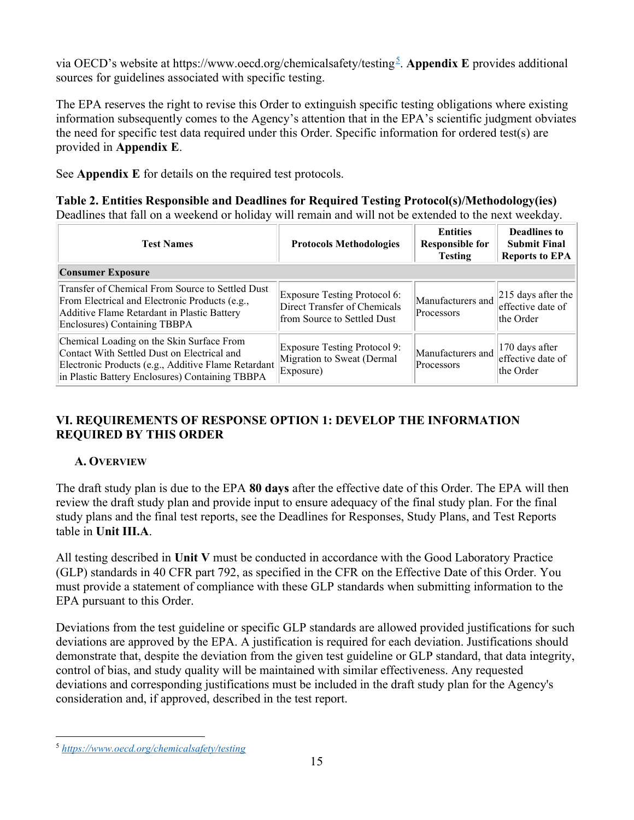via OECD's website at https://www.oecd.org/chemicalsafety/testing<sup>5</sup>. Appendix E provides additional sources for guidelines associated with specific testing.

The EPA reserves the right to revise this Order to extinguish specific testing obligations where existing information subsequently comes to the Agency's attention that in the EPA's scientific judgment obviates the need for specific test data required under this Order. Specific information for ordered test(s) are provided in Appendix E.

See Appendix E for details on the required test protocols.

Table 2. Entities Responsible and Deadlines for Required Testing Protocol(s)/Methodology(ies) Deadlines that fall on a weekend or holiday will remain and will not be extended to the next weekday.

| <b>Test Names</b>                                                                                                                                                                                  | <b>Protocols Methodologies</b>                                                              | <b>Entities</b><br><b>Responsible for</b><br><b>Testing</b> | <b>Deadlines to</b><br><b>Submit Final</b><br><b>Reports to EPA</b> |
|----------------------------------------------------------------------------------------------------------------------------------------------------------------------------------------------------|---------------------------------------------------------------------------------------------|-------------------------------------------------------------|---------------------------------------------------------------------|
| <b>Consumer Exposure</b>                                                                                                                                                                           |                                                                                             |                                                             |                                                                     |
| Transfer of Chemical From Source to Settled Dust<br>From Electrical and Electronic Products (e.g.,<br>Additive Flame Retardant in Plastic Battery<br>Enclosures) Containing TBBPA                  | Exposure Testing Protocol 6:<br>Direct Transfer of Chemicals<br>from Source to Settled Dust | Manufacturers and<br><b>Processors</b>                      | $ 215$ days after the<br>effective date of<br>the Order             |
| Chemical Loading on the Skin Surface From<br>Contact With Settled Dust on Electrical and<br>Electronic Products (e.g., Additive Flame Retardant<br>in Plastic Battery Enclosures) Containing TBBPA | Exposure Testing Protocol 9:<br>Migration to Sweat (Dermal<br>Exposure)                     | Manufacturers and<br>Processors                             | 170 days after<br>effective date of<br>the Order                    |

# VI. REQUIREMENTS OF RESPONSE OPTION 1: DEVELOP THE INFORMATION REQUIRED BY THIS ORDER

# A. OVERVIEW

The draft study plan is due to the EPA 80 days after the effective date of this Order. The EPA will then review the draft study plan and provide input to ensure adequacy of the final study plan. For the final study plans and the final test reports, see the Deadlines for Responses, Study Plans, and Test Reports table in Unit III.A.

All testing described in Unit V must be conducted in accordance with the Good Laboratory Practice (GLP) standards in 40 CFR part 792, as specified in the CFR on the Effective Date of this Order. You must provide a statement of compliance with these GLP standards when submitting information to the EPA pursuant to this Order.

Deviations from the test guideline or specific GLP standards are allowed provided justifications for such deviations are approved by the EPA. A justification is required for each deviation. Justifications should demonstrate that, despite the deviation from the given test guideline or GLP standard, that data integrity, control of bias, and study quality will be maintained with similar effectiveness. Any requested deviations and corresponding justifications must be included in the draft study plan for the Agency's consideration and, if approved, described in the test report.

<sup>5</sup> https://www.oecd.org/chemicalsafety/testing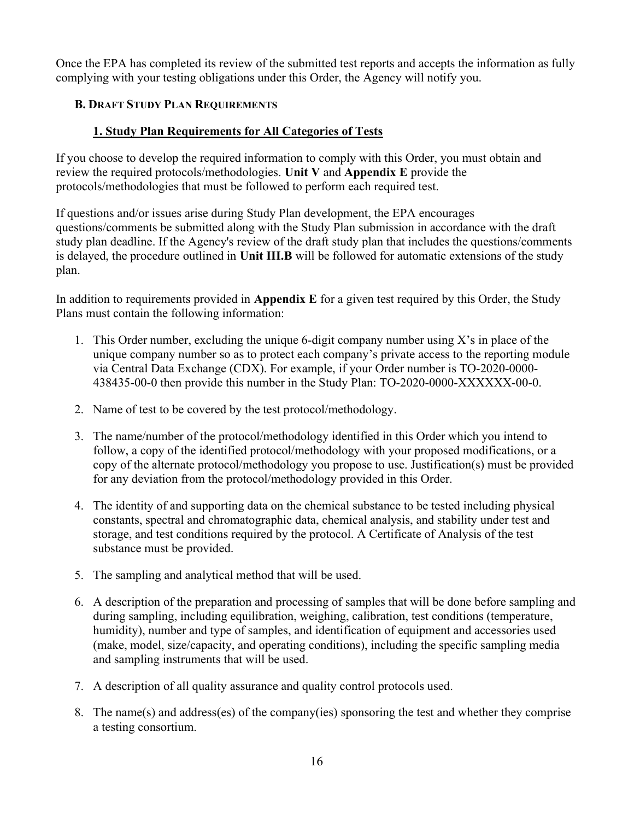Once the EPA has completed its review of the submitted test reports and accepts the information as fully complying with your testing obligations under this Order, the Agency will notify you.

## B. DRAFT STUDY PLAN REQUIREMENTS

## 1. Study Plan Requirements for All Categories of Tests

If you choose to develop the required information to comply with this Order, you must obtain and review the required protocols/methodologies. Unit V and Appendix E provide the protocols/methodologies that must be followed to perform each required test.

If questions and/or issues arise during Study Plan development, the EPA encourages questions/comments be submitted along with the Study Plan submission in accordance with the draft study plan deadline. If the Agency's review of the draft study plan that includes the questions/comments is delayed, the procedure outlined in Unit III.B will be followed for automatic extensions of the study plan.

In addition to requirements provided in Appendix E for a given test required by this Order, the Study Plans must contain the following information:

- 1. This Order number, excluding the unique 6-digit company number using X's in place of the unique company number so as to protect each company's private access to the reporting module via Central Data Exchange (CDX). For example, if your Order number is TO-2020-0000- 438435-00-0 then provide this number in the Study Plan: TO-2020-0000-XXXXXX-00-0.
- 2. Name of test to be covered by the test protocol/methodology.
- 3. The name/number of the protocol/methodology identified in this Order which you intend to follow, a copy of the identified protocol/methodology with your proposed modifications, or a copy of the alternate protocol/methodology you propose to use. Justification(s) must be provided for any deviation from the protocol/methodology provided in this Order.
- 4. The identity of and supporting data on the chemical substance to be tested including physical constants, spectral and chromatographic data, chemical analysis, and stability under test and storage, and test conditions required by the protocol. A Certificate of Analysis of the test substance must be provided.
- 5. The sampling and analytical method that will be used.
- 6. A description of the preparation and processing of samples that will be done before sampling and during sampling, including equilibration, weighing, calibration, test conditions (temperature, humidity), number and type of samples, and identification of equipment and accessories used (make, model, size/capacity, and operating conditions), including the specific sampling media and sampling instruments that will be used.
- 7. A description of all quality assurance and quality control protocols used.
- 8. The name(s) and address(es) of the company(ies) sponsoring the test and whether they comprise a testing consortium.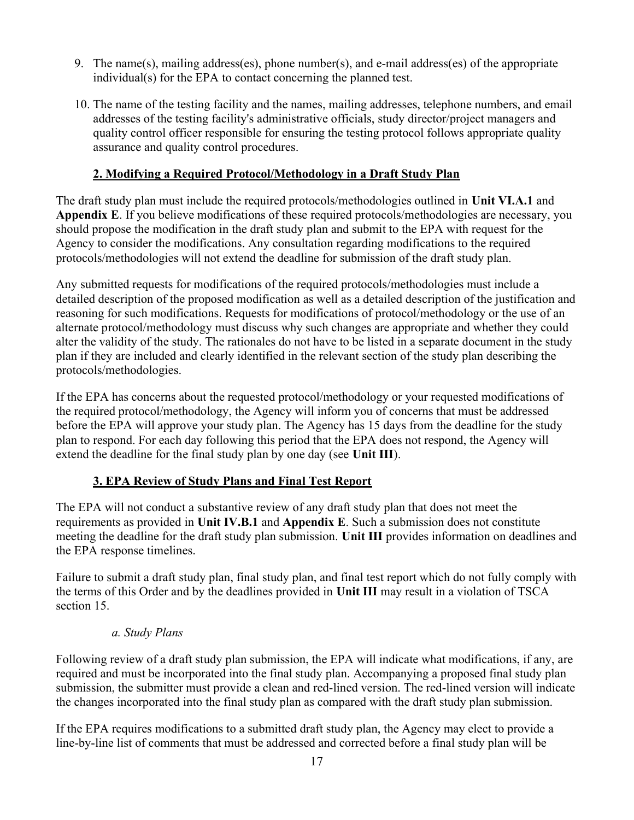- 9. The name(s), mailing address(es), phone number(s), and e-mail address(es) of the appropriate individual(s) for the EPA to contact concerning the planned test.
- 10. The name of the testing facility and the names, mailing addresses, telephone numbers, and email addresses of the testing facility's administrative officials, study director/project managers and quality control officer responsible for ensuring the testing protocol follows appropriate quality assurance and quality control procedures.

## 2. Modifying a Required Protocol/Methodology in a Draft Study Plan

The draft study plan must include the required protocols/methodologies outlined in Unit VI.A.1 and Appendix E. If you believe modifications of these required protocols/methodologies are necessary, you should propose the modification in the draft study plan and submit to the EPA with request for the Agency to consider the modifications. Any consultation regarding modifications to the required protocols/methodologies will not extend the deadline for submission of the draft study plan.

Any submitted requests for modifications of the required protocols/methodologies must include a detailed description of the proposed modification as well as a detailed description of the justification and reasoning for such modifications. Requests for modifications of protocol/methodology or the use of an alternate protocol/methodology must discuss why such changes are appropriate and whether they could alter the validity of the study. The rationales do not have to be listed in a separate document in the study plan if they are included and clearly identified in the relevant section of the study plan describing the protocols/methodologies.

If the EPA has concerns about the requested protocol/methodology or your requested modifications of the required protocol/methodology, the Agency will inform you of concerns that must be addressed before the EPA will approve your study plan. The Agency has 15 days from the deadline for the study plan to respond. For each day following this period that the EPA does not respond, the Agency will extend the deadline for the final study plan by one day (see Unit III).

## 3. EPA Review of Study Plans and Final Test Report

The EPA will not conduct a substantive review of any draft study plan that does not meet the requirements as provided in Unit IV.B.1 and Appendix E. Such a submission does not constitute meeting the deadline for the draft study plan submission. Unit III provides information on deadlines and the EPA response timelines.

Failure to submit a draft study plan, final study plan, and final test report which do not fully comply with the terms of this Order and by the deadlines provided in Unit III may result in a violation of TSCA section 15.

#### a. Study Plans

Following review of a draft study plan submission, the EPA will indicate what modifications, if any, are required and must be incorporated into the final study plan. Accompanying a proposed final study plan submission, the submitter must provide a clean and red-lined version. The red-lined version will indicate the changes incorporated into the final study plan as compared with the draft study plan submission.

If the EPA requires modifications to a submitted draft study plan, the Agency may elect to provide a line-by-line list of comments that must be addressed and corrected before a final study plan will be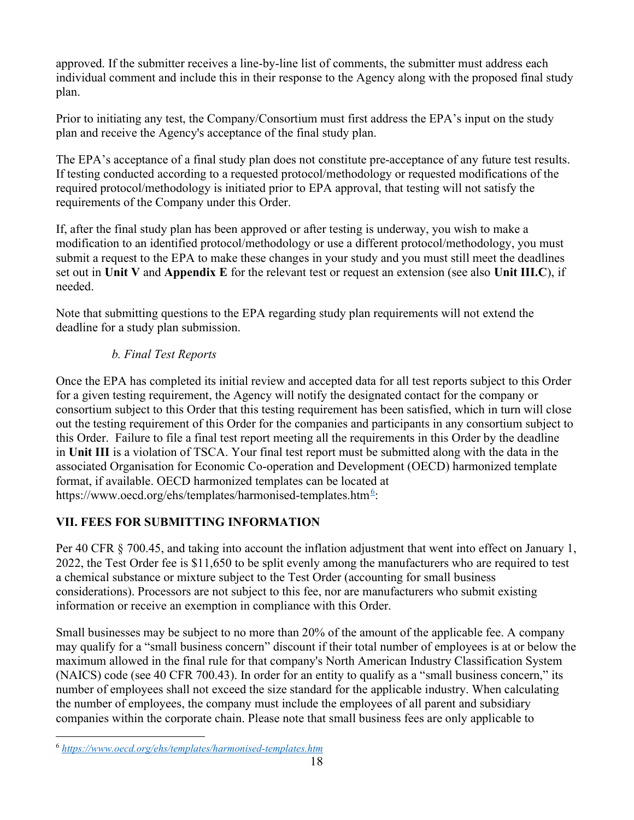approved. If the submitter receives a line-by-line list of comments, the submitter must address each individual comment and include this in their response to the Agency along with the proposed final study plan.

Prior to initiating any test, the Company/Consortium must first address the EPA's input on the study plan and receive the Agency's acceptance of the final study plan.

The EPA's acceptance of a final study plan does not constitute pre-acceptance of any future test results. If testing conducted according to a requested protocol/methodology or requested modifications of the required protocol/methodology is initiated prior to EPA approval, that testing will not satisfy the requirements of the Company under this Order.

If, after the final study plan has been approved or after testing is underway, you wish to make a modification to an identified protocol/methodology or use a different protocol/methodology, you must submit a request to the EPA to make these changes in your study and you must still meet the deadlines set out in Unit V and Appendix E for the relevant test or request an extension (see also Unit III.C), if needed.

Note that submitting questions to the EPA regarding study plan requirements will not extend the deadline for a study plan submission.

# b. Final Test Reports

Once the EPA has completed its initial review and accepted data for all test reports subject to this Order for a given testing requirement, the Agency will notify the designated contact for the company or consortium subject to this Order that this testing requirement has been satisfied, which in turn will close out the testing requirement of this Order for the companies and participants in any consortium subject to this Order. Failure to file a final test report meeting all the requirements in this Order by the deadline in Unit III is a violation of TSCA. Your final test report must be submitted along with the data in the associated Organisation for Economic Co-operation and Development (OECD) harmonized template format, if available. OECD harmonized templates can be located at https://www.oecd.org/ehs/templates/harmonised-templates.htm<sup>6</sup>:

# VII. FEES FOR SUBMITTING INFORMATION

Per 40 CFR § 700.45, and taking into account the inflation adjustment that went into effect on January 1, 2022, the Test Order fee is \$11,650 to be split evenly among the manufacturers who are required to test a chemical substance or mixture subject to the Test Order (accounting for small business considerations). Processors are not subject to this fee, nor are manufacturers who submit existing information or receive an exemption in compliance with this Order.

Small businesses may be subject to no more than 20% of the amount of the applicable fee. A company may qualify for a "small business concern" discount if their total number of employees is at or below the maximum allowed in the final rule for that company's North American Industry Classification System (NAICS) code (see 40 CFR 700.43). In order for an entity to qualify as a "small business concern," its number of employees shall not exceed the size standard for the applicable industry. When calculating the number of employees, the company must include the employees of all parent and subsidiary companies within the corporate chain. Please note that small business fees are only applicable to

<sup>6</sup> https://www.oecd.org/ehs/templates/harmonised-templates.htm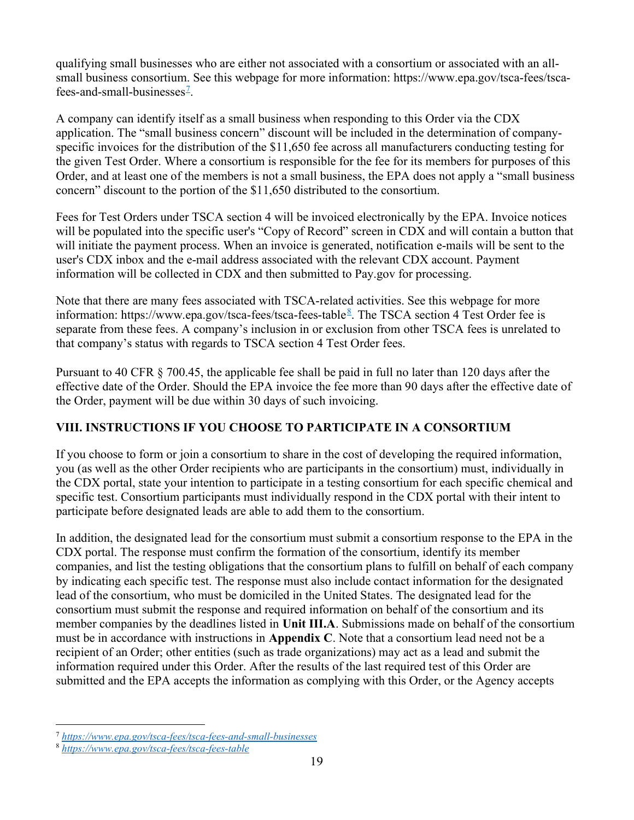qualifying small businesses who are either not associated with a consortium or associated with an allsmall business consortium. See this webpage for more information: https://www.epa.gov/tsca-fees/tscafees-and-small-businesses<sup> $7$ </sup>.

A company can identify itself as a small business when responding to this Order via the CDX application. The "small business concern" discount will be included in the determination of companyspecific invoices for the distribution of the \$11,650 fee across all manufacturers conducting testing for the given Test Order. Where a consortium is responsible for the fee for its members for purposes of this Order, and at least one of the members is not a small business, the EPA does not apply a "small business concern" discount to the portion of the \$11,650 distributed to the consortium.

Fees for Test Orders under TSCA section 4 will be invoiced electronically by the EPA. Invoice notices will be populated into the specific user's "Copy of Record" screen in CDX and will contain a button that will initiate the payment process. When an invoice is generated, notification e-mails will be sent to the user's CDX inbox and the e-mail address associated with the relevant CDX account. Payment information will be collected in CDX and then submitted to Pay.gov for processing.

Note that there are many fees associated with TSCA-related activities. See this webpage for more information: https://www.epa.gov/tsca-fees/tsca-fees-table 8. The TSCA section 4 Test Order fee is separate from these fees. A company's inclusion in or exclusion from other TSCA fees is unrelated to that company's status with regards to TSCA section 4 Test Order fees.

Pursuant to 40 CFR § 700.45, the applicable fee shall be paid in full no later than 120 days after the effective date of the Order. Should the EPA invoice the fee more than 90 days after the effective date of the Order, payment will be due within 30 days of such invoicing.

# VIII. INSTRUCTIONS IF YOU CHOOSE TO PARTICIPATE IN A CONSORTIUM

If you choose to form or join a consortium to share in the cost of developing the required information, you (as well as the other Order recipients who are participants in the consortium) must, individually in the CDX portal, state your intention to participate in a testing consortium for each specific chemical and specific test. Consortium participants must individually respond in the CDX portal with their intent to participate before designated leads are able to add them to the consortium.

In addition, the designated lead for the consortium must submit a consortium response to the EPA in the CDX portal. The response must confirm the formation of the consortium, identify its member companies, and list the testing obligations that the consortium plans to fulfill on behalf of each company by indicating each specific test. The response must also include contact information for the designated lead of the consortium, who must be domiciled in the United States. The designated lead for the consortium must submit the response and required information on behalf of the consortium and its member companies by the deadlines listed in Unit III.A. Submissions made on behalf of the consortium must be in accordance with instructions in Appendix C. Note that a consortium lead need not be a recipient of an Order; other entities (such as trade organizations) may act as a lead and submit the information required under this Order. After the results of the last required test of this Order are submitted and the EPA accepts the information as complying with this Order, or the Agency accepts

<sup>&</sup>lt;sup>7</sup> https://www.epa.gov/tsca-fees/tsca-fees-and-small-businesses

<sup>8</sup> https://www.epa.gov/tsca-fees/tsca-fees-table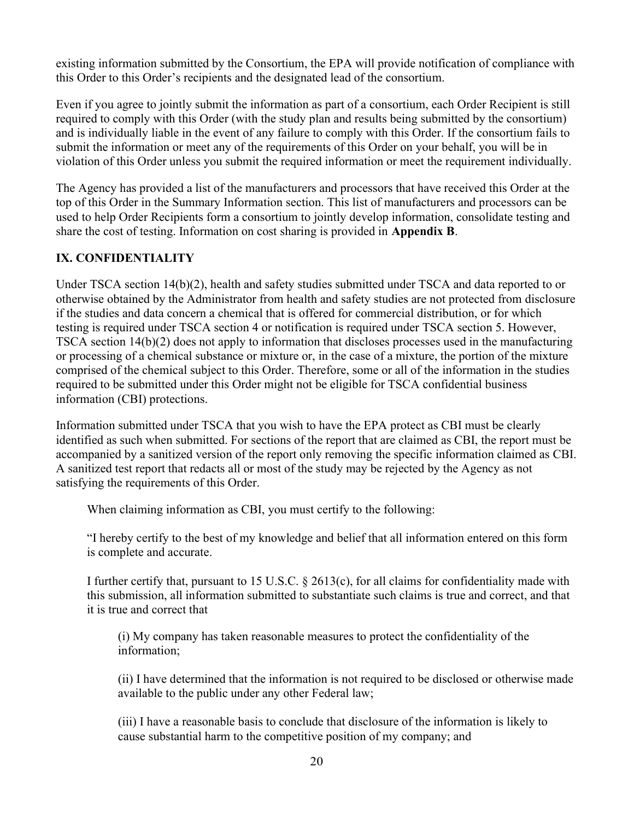existing information submitted by the Consortium, the EPA will provide notification of compliance with this Order to this Order's recipients and the designated lead of the consortium.

Even if you agree to jointly submit the information as part of a consortium, each Order Recipient is still required to comply with this Order (with the study plan and results being submitted by the consortium) and is individually liable in the event of any failure to comply with this Order. If the consortium fails to submit the information or meet any of the requirements of this Order on your behalf, you will be in violation of this Order unless you submit the required information or meet the requirement individually.

The Agency has provided a list of the manufacturers and processors that have received this Order at the top of this Order in the Summary Information section. This list of manufacturers and processors can be used to help Order Recipients form a consortium to jointly develop information, consolidate testing and share the cost of testing. Information on cost sharing is provided in Appendix B.

# IX. CONFIDENTIALITY

Under TSCA section 14(b)(2), health and safety studies submitted under TSCA and data reported to or otherwise obtained by the Administrator from health and safety studies are not protected from disclosure if the studies and data concern a chemical that is offered for commercial distribution, or for which testing is required under TSCA section 4 or notification is required under TSCA section 5. However, TSCA section 14(b)(2) does not apply to information that discloses processes used in the manufacturing or processing of a chemical substance or mixture or, in the case of a mixture, the portion of the mixture comprised of the chemical subject to this Order. Therefore, some or all of the information in the studies required to be submitted under this Order might not be eligible for TSCA confidential business information (CBI) protections.

Information submitted under TSCA that you wish to have the EPA protect as CBI must be clearly identified as such when submitted. For sections of the report that are claimed as CBI, the report must be accompanied by a sanitized version of the report only removing the specific information claimed as CBI. A sanitized test report that redacts all or most of the study may be rejected by the Agency as not satisfying the requirements of this Order.

When claiming information as CBI, you must certify to the following:

"I hereby certify to the best of my knowledge and belief that all information entered on this form is complete and accurate.

I further certify that, pursuant to 15 U.S.C. § 2613(c), for all claims for confidentiality made with this submission, all information submitted to substantiate such claims is true and correct, and that it is true and correct that

(i) My company has taken reasonable measures to protect the confidentiality of the information;

(ii) I have determined that the information is not required to be disclosed or otherwise made available to the public under any other Federal law;

(iii) I have a reasonable basis to conclude that disclosure of the information is likely to cause substantial harm to the competitive position of my company; and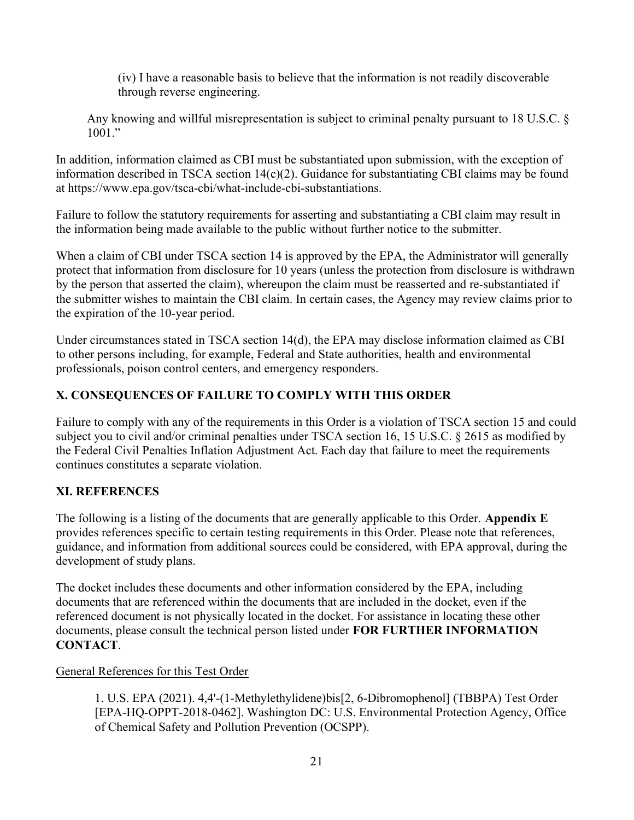(iv) I have a reasonable basis to believe that the information is not readily discoverable through reverse engineering.

Any knowing and willful misrepresentation is subject to criminal penalty pursuant to 18 U.S.C. §  $1001.$ "

In addition, information claimed as CBI must be substantiated upon submission, with the exception of information described in TSCA section 14(c)(2). Guidance for substantiating CBI claims may be found at https://www.epa.gov/tsca-cbi/what-include-cbi-substantiations.

Failure to follow the statutory requirements for asserting and substantiating a CBI claim may result in the information being made available to the public without further notice to the submitter.

When a claim of CBI under TSCA section 14 is approved by the EPA, the Administrator will generally protect that information from disclosure for 10 years (unless the protection from disclosure is withdrawn by the person that asserted the claim), whereupon the claim must be reasserted and re-substantiated if the submitter wishes to maintain the CBI claim. In certain cases, the Agency may review claims prior to the expiration of the 10-year period.

Under circumstances stated in TSCA section 14(d), the EPA may disclose information claimed as CBI to other persons including, for example, Federal and State authorities, health and environmental professionals, poison control centers, and emergency responders.

# X. CONSEQUENCES OF FAILURE TO COMPLY WITH THIS ORDER

Failure to comply with any of the requirements in this Order is a violation of TSCA section 15 and could subject you to civil and/or criminal penalties under TSCA section 16, 15 U.S.C. § 2615 as modified by the Federal Civil Penalties Inflation Adjustment Act. Each day that failure to meet the requirements continues constitutes a separate violation.

# XI. REFERENCES

The following is a listing of the documents that are generally applicable to this Order. Appendix E provides references specific to certain testing requirements in this Order. Please note that references, guidance, and information from additional sources could be considered, with EPA approval, during the development of study plans.

The docket includes these documents and other information considered by the EPA, including documents that are referenced within the documents that are included in the docket, even if the referenced document is not physically located in the docket. For assistance in locating these other documents, please consult the technical person listed under FOR FURTHER INFORMATION CONTACT.

## General References for this Test Order

1. U.S. EPA (2021). 4,4'-(1-Methylethylidene)bis[2, 6-Dibromophenol] (TBBPA) Test Order [EPA-HQ-OPPT-2018-0462]. Washington DC: U.S. Environmental Protection Agency, Office of Chemical Safety and Pollution Prevention (OCSPP).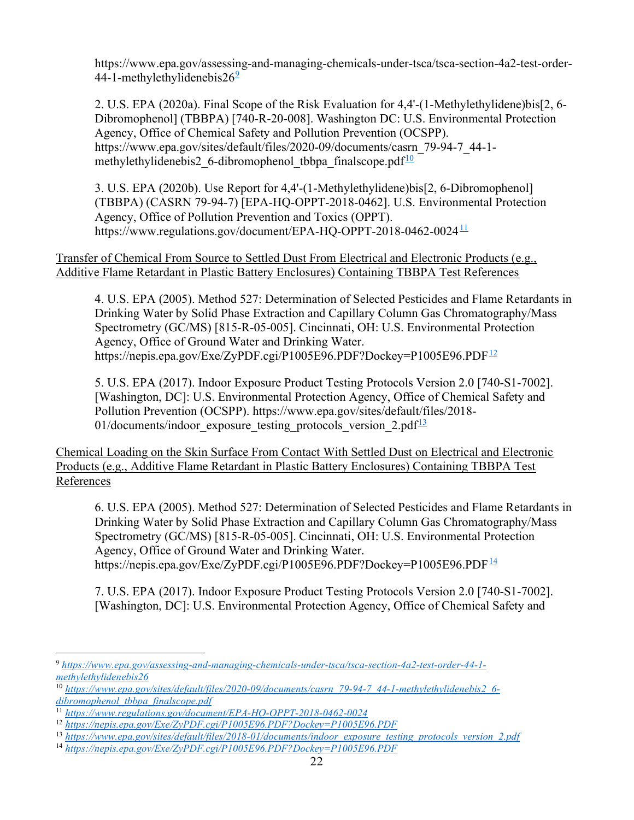https://www.epa.gov/assessing-and-managing-chemicals-under-tsca/tsca-section-4a2-test-order-44-1-methylethylidenebis $26<sup>9</sup>$ 

2. U.S. EPA (2020a). Final Scope of the Risk Evaluation for 4,4'-(1-Methylethylidene)bis[2, 6- Dibromophenol] (TBBPA) [740-R-20-008]. Washington DC: U.S. Environmental Protection Agency, Office of Chemical Safety and Pollution Prevention (OCSPP). https://www.epa.gov/sites/default/files/2020-09/documents/casrn\_79-94-7\_44-1 methylethylidenebis2 6-dibromophenol tbbpa finalscope.pdf $\frac{10}{2}$ 

3. U.S. EPA (2020b). Use Report for 4,4'-(1-Methylethylidene)bis[2, 6-Dibromophenol] (TBBPA) (CASRN 79-94-7) [EPA-HQ-OPPT-2018-0462]. U.S. Environmental Protection Agency, Office of Pollution Prevention and Toxics (OPPT). https://www.regulations.gov/document/EPA-HQ-OPPT-2018-0462-0024 $11$ 

Transfer of Chemical From Source to Settled Dust From Electrical and Electronic Products (e.g., Additive Flame Retardant in Plastic Battery Enclosures) Containing TBBPA Test References

4. U.S. EPA (2005). Method 527: Determination of Selected Pesticides and Flame Retardants in Drinking Water by Solid Phase Extraction and Capillary Column Gas Chromatography/Mass Spectrometry (GC/MS) [815-R-05-005]. Cincinnati, OH: U.S. Environmental Protection Agency, Office of Ground Water and Drinking Water. https://nepis.epa.gov/Exe/ZyPDF.cgi/P1005E96.PDF?Dockey=P1005E96.PDF<sup>12</sup>

5. U.S. EPA (2017). Indoor Exposure Product Testing Protocols Version 2.0 [740-S1-7002]. [Washington, DC]: U.S. Environmental Protection Agency, Office of Chemical Safety and Pollution Prevention (OCSPP). https://www.epa.gov/sites/default/files/2018- 01/documents/indoor exposure testing protocols version  $2.pdf^{13}$ 

Chemical Loading on the Skin Surface From Contact With Settled Dust on Electrical and Electronic Products (e.g., Additive Flame Retardant in Plastic Battery Enclosures) Containing TBBPA Test References

6. U.S. EPA (2005). Method 527: Determination of Selected Pesticides and Flame Retardants in Drinking Water by Solid Phase Extraction and Capillary Column Gas Chromatography/Mass Spectrometry (GC/MS) [815-R-05-005]. Cincinnati, OH: U.S. Environmental Protection Agency, Office of Ground Water and Drinking Water. https://nepis.epa.gov/Exe/ZyPDF.cgi/P1005E96.PDF?Dockey=P1005E96.PDF<sup>14</sup>

7. U.S. EPA (2017). Indoor Exposure Product Testing Protocols Version 2.0 [740-S1-7002]. [Washington, DC]: U.S. Environmental Protection Agency, Office of Chemical Safety and

<sup>9</sup> https://www.epa.gov/assessing-and-managing-chemicals-under-tsca/tsca-section-4a2-test-order-44-1 methylethylidenebis26

<sup>10</sup> https://www.epa.gov/sites/default/files/2020-09/documents/casrn\_79-94-7\_44-1-methylethylidenebis2\_6 dibromophenol tbbpa finalscope.pdf

<sup>11</sup> https://www.regulations.gov/document/EPA-HQ-OPPT-2018-0462-0024

<sup>12</sup> https://nepis.epa.gov/Exe/ZyPDF.cgi/P1005E96.PDF?Dockey=P1005E96.PDF

<sup>&</sup>lt;sup>13</sup> https://www.epa.gov/sites/default/files/2018-01/documents/indoor\_exposure\_testing\_protocols\_version\_2.pdf

<sup>14</sup> https://nepis.epa.gov/Exe/ZyPDF.cgi/P1005E96.PDF?Dockey=P1005E96.PDF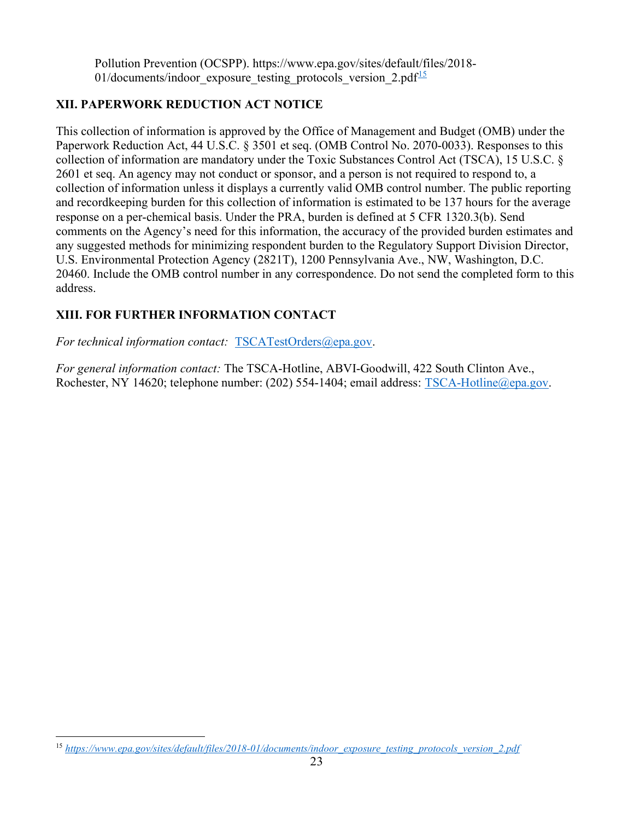Pollution Prevention (OCSPP). https://www.epa.gov/sites/default/files/2018- 01/documents/indoor\_exposure\_testing\_protocols\_version\_2.pdf $\frac{15}{2}$ 

## XII. PAPERWORK REDUCTION ACT NOTICE

This collection of information is approved by the Office of Management and Budget (OMB) under the Paperwork Reduction Act, 44 U.S.C. § 3501 et seq. (OMB Control No. 2070-0033). Responses to this collection of information are mandatory under the Toxic Substances Control Act (TSCA), 15 U.S.C. § 2601 et seq. An agency may not conduct or sponsor, and a person is not required to respond to, a collection of information unless it displays a currently valid OMB control number. The public reporting and recordkeeping burden for this collection of information is estimated to be 137 hours for the average response on a per-chemical basis. Under the PRA, burden is defined at 5 CFR 1320.3(b). Send comments on the Agency's need for this information, the accuracy of the provided burden estimates and any suggested methods for minimizing respondent burden to the Regulatory Support Division Director, U.S. Environmental Protection Agency (2821T), 1200 Pennsylvania Ave., NW, Washington, D.C. 20460. Include the OMB control number in any correspondence. Do not send the completed form to this address.

# XIII. FOR FURTHER INFORMATION CONTACT

For technical information contact: TSCATestOrders@epa.gov.

For general information contact: The TSCA-Hotline, ABVI-Goodwill, 422 South Clinton Ave., Rochester, NY 14620; telephone number: (202) 554-1404; email address: TSCA-Hotline@epa.gov.

<sup>15</sup> https://www.epa.gov/sites/default/files/2018-01/documents/indoor\_exposure\_testing\_protocols\_version\_2.pdf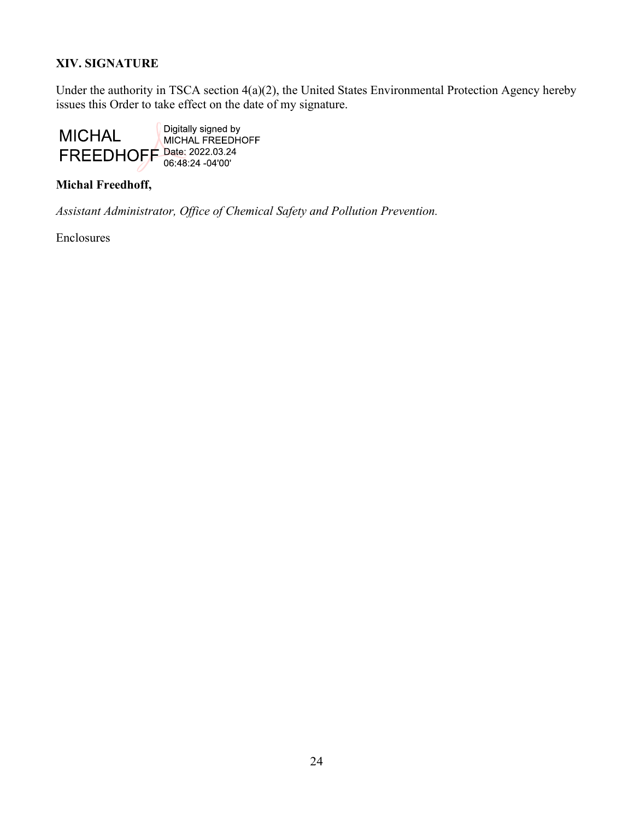# XIV. SIGNATURE

Under the authority in TSCA section 4(a)(2), the United States Environmental Protection Agency hereby issues this Order to take effect on the date of my signature.



## Michal Freedhoff,

Assistant Administrator, Office of Chemical Safety and Pollution Prevention.

Enclosures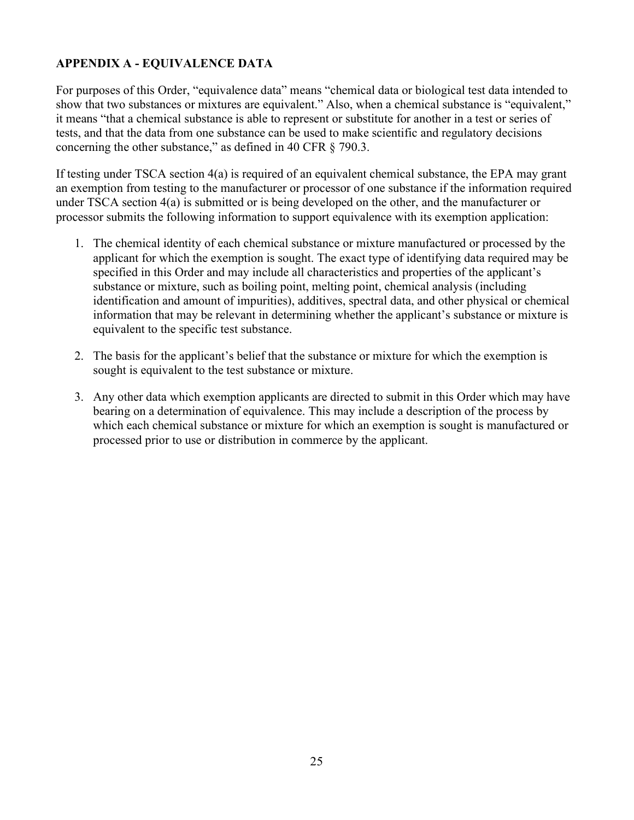# APPENDIX A - EQUIVALENCE DATA

For purposes of this Order, "equivalence data" means "chemical data or biological test data intended to show that two substances or mixtures are equivalent." Also, when a chemical substance is "equivalent," it means "that a chemical substance is able to represent or substitute for another in a test or series of tests, and that the data from one substance can be used to make scientific and regulatory decisions concerning the other substance," as defined in 40 CFR § 790.3.

If testing under TSCA section 4(a) is required of an equivalent chemical substance, the EPA may grant an exemption from testing to the manufacturer or processor of one substance if the information required under TSCA section 4(a) is submitted or is being developed on the other, and the manufacturer or processor submits the following information to support equivalence with its exemption application:

- 1. The chemical identity of each chemical substance or mixture manufactured or processed by the applicant for which the exemption is sought. The exact type of identifying data required may be specified in this Order and may include all characteristics and properties of the applicant's substance or mixture, such as boiling point, melting point, chemical analysis (including identification and amount of impurities), additives, spectral data, and other physical or chemical information that may be relevant in determining whether the applicant's substance or mixture is equivalent to the specific test substance.
- 2. The basis for the applicant's belief that the substance or mixture for which the exemption is sought is equivalent to the test substance or mixture.
- 3. Any other data which exemption applicants are directed to submit in this Order which may have bearing on a determination of equivalence. This may include a description of the process by which each chemical substance or mixture for which an exemption is sought is manufactured or processed prior to use or distribution in commerce by the applicant.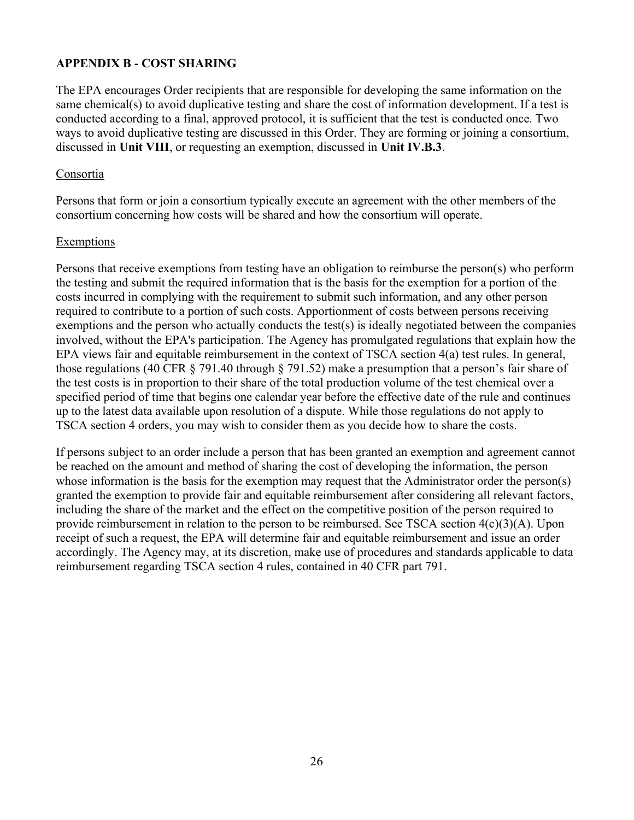## APPENDIX B - COST SHARING

The EPA encourages Order recipients that are responsible for developing the same information on the same chemical(s) to avoid duplicative testing and share the cost of information development. If a test is conducted according to a final, approved protocol, it is sufficient that the test is conducted once. Two ways to avoid duplicative testing are discussed in this Order. They are forming or joining a consortium, discussed in Unit VIII, or requesting an exemption, discussed in Unit IV.B.3.

#### Consortia

Persons that form or join a consortium typically execute an agreement with the other members of the consortium concerning how costs will be shared and how the consortium will operate.

#### Exemptions

Persons that receive exemptions from testing have an obligation to reimburse the person(s) who perform the testing and submit the required information that is the basis for the exemption for a portion of the costs incurred in complying with the requirement to submit such information, and any other person required to contribute to a portion of such costs. Apportionment of costs between persons receiving exemptions and the person who actually conducts the test(s) is ideally negotiated between the companies involved, without the EPA's participation. The Agency has promulgated regulations that explain how the EPA views fair and equitable reimbursement in the context of TSCA section 4(a) test rules. In general, those regulations (40 CFR § 791.40 through § 791.52) make a presumption that a person's fair share of the test costs is in proportion to their share of the total production volume of the test chemical over a specified period of time that begins one calendar year before the effective date of the rule and continues up to the latest data available upon resolution of a dispute. While those regulations do not apply to TSCA section 4 orders, you may wish to consider them as you decide how to share the costs.

If persons subject to an order include a person that has been granted an exemption and agreement cannot be reached on the amount and method of sharing the cost of developing the information, the person whose information is the basis for the exemption may request that the Administrator order the person(s) granted the exemption to provide fair and equitable reimbursement after considering all relevant factors, including the share of the market and the effect on the competitive position of the person required to provide reimbursement in relation to the person to be reimbursed. See TSCA section 4(c)(3)(A). Upon receipt of such a request, the EPA will determine fair and equitable reimbursement and issue an order accordingly. The Agency may, at its discretion, make use of procedures and standards applicable to data reimbursement regarding TSCA section 4 rules, contained in 40 CFR part 791.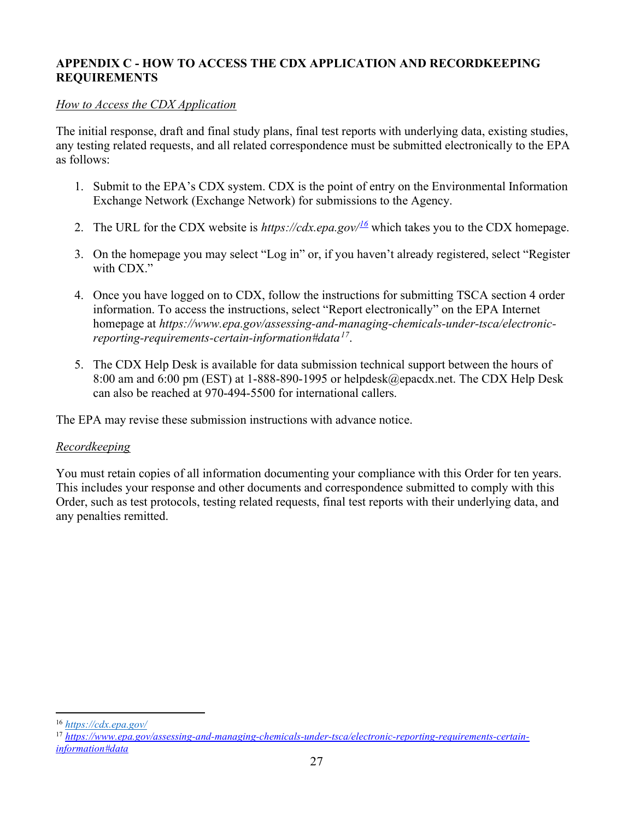## APPENDIX C - HOW TO ACCESS THE CDX APPLICATION AND RECORDKEEPING REQUIREMENTS

## How to Access the CDX Application

The initial response, draft and final study plans, final test reports with underlying data, existing studies, any testing related requests, and all related correspondence must be submitted electronically to the EPA as follows:

- 1. Submit to the EPA's CDX system. CDX is the point of entry on the Environmental Information Exchange Network (Exchange Network) for submissions to the Agency.
- 2. The URL for the CDX website is https://cdx.epa.gov/ $\frac{16}{2}$  which takes you to the CDX homepage.
- 3. On the homepage you may select "Log in" or, if you haven't already registered, select "Register with CDX."
- 4. Once you have logged on to CDX, follow the instructions for submitting TSCA section 4 order information. To access the instructions, select "Report electronically" on the EPA Internet homepage at https://www.epa.gov/assessing-and-managing-chemicals-under-tsca/electronicreporting-requirements-certain-information#data $^{17}$ .
- 5. The CDX Help Desk is available for data submission technical support between the hours of 8:00 am and 6:00 pm (EST) at 1-888-890-1995 or helpdesk@epacdx.net. The CDX Help Desk can also be reached at 970-494-5500 for international callers.

The EPA may revise these submission instructions with advance notice.

## Recordkeeping

You must retain copies of all information documenting your compliance with this Order for ten years. This includes your response and other documents and correspondence submitted to comply with this Order, such as test protocols, testing related requests, final test reports with their underlying data, and any penalties remitted.

<sup>16</sup> https://cdx.epa.gov/

<sup>&</sup>lt;sup>17</sup> https://www.epa.gov/assessing-and-managing-chemicals-under-tsca/electronic-reporting-requirements-certaininformation#data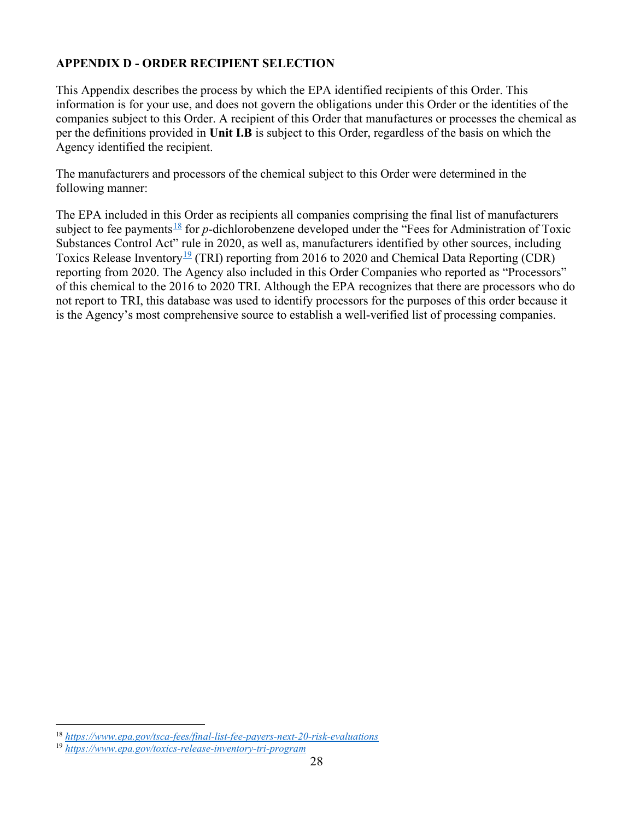# APPENDIX D - ORDER RECIPIENT SELECTION

This Appendix describes the process by which the EPA identified recipients of this Order. This information is for your use, and does not govern the obligations under this Order or the identities of the companies subject to this Order. A recipient of this Order that manufactures or processes the chemical as per the definitions provided in Unit I.B is subject to this Order, regardless of the basis on which the Agency identified the recipient.

The manufacturers and processors of the chemical subject to this Order were determined in the following manner:

The EPA included in this Order as recipients all companies comprising the final list of manufacturers subject to fee payments<sup>18</sup> for p-dichlorobenzene developed under the "Fees for Administration of Toxic Substances Control Act" rule in 2020, as well as, manufacturers identified by other sources, including Toxics Release Inventory<sup>19</sup> (TRI) reporting from 2016 to 2020 and Chemical Data Reporting (CDR) reporting from 2020. The Agency also included in this Order Companies who reported as "Processors" of this chemical to the 2016 to 2020 TRI. Although the EPA recognizes that there are processors who do not report to TRI, this database was used to identify processors for the purposes of this order because it is the Agency's most comprehensive source to establish a well-verified list of processing companies.

<sup>18</sup> https://www.epa.gov/tsca-fees/final-list-fee-payers-next-20-risk-evaluations

<sup>19</sup> https://www.epa.gov/toxics-release-inventory-tri-program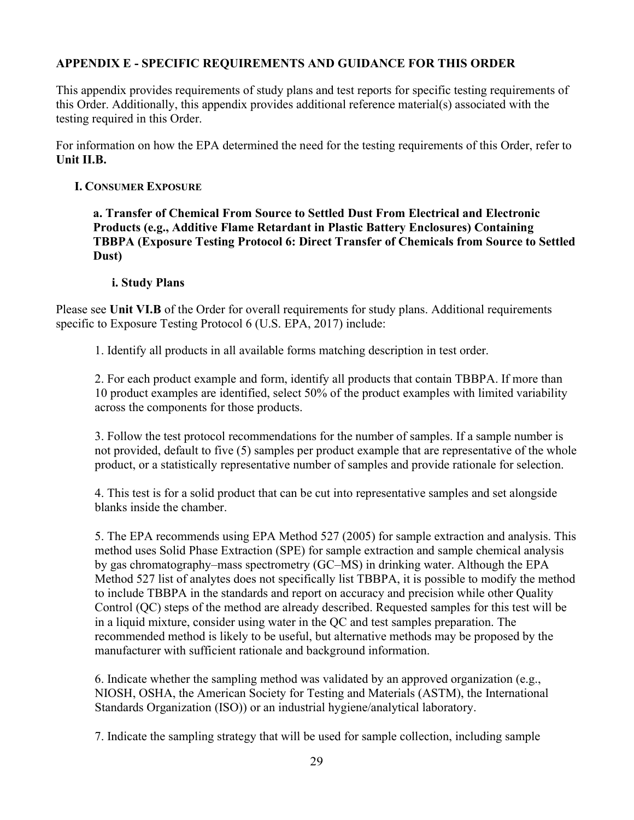## APPENDIX E - SPECIFIC REQUIREMENTS AND GUIDANCE FOR THIS ORDER

This appendix provides requirements of study plans and test reports for specific testing requirements of this Order. Additionally, this appendix provides additional reference material(s) associated with the testing required in this Order.

For information on how the EPA determined the need for the testing requirements of this Order, refer to Unit II.B.

### I. CONSUMER EXPOSURE

a. Transfer of Chemical From Source to Settled Dust From Electrical and Electronic Products (e.g., Additive Flame Retardant in Plastic Battery Enclosures) Containing TBBPA (Exposure Testing Protocol 6: Direct Transfer of Chemicals from Source to Settled Dust)

#### i. Study Plans

Please see Unit VI.B of the Order for overall requirements for study plans. Additional requirements specific to Exposure Testing Protocol 6 (U.S. EPA, 2017) include:

1. Identify all products in all available forms matching description in test order.

2. For each product example and form, identify all products that contain TBBPA. If more than 10 product examples are identified, select 50% of the product examples with limited variability across the components for those products.

3. Follow the test protocol recommendations for the number of samples. If a sample number is not provided, default to five (5) samples per product example that are representative of the whole product, or a statistically representative number of samples and provide rationale for selection.

4. This test is for a solid product that can be cut into representative samples and set alongside blanks inside the chamber.

5. The EPA recommends using EPA Method 527 (2005) for sample extraction and analysis. This method uses Solid Phase Extraction (SPE) for sample extraction and sample chemical analysis by gas chromatography–mass spectrometry (GC–MS) in drinking water. Although the EPA Method 527 list of analytes does not specifically list TBBPA, it is possible to modify the method to include TBBPA in the standards and report on accuracy and precision while other Quality Control (QC) steps of the method are already described. Requested samples for this test will be in a liquid mixture, consider using water in the QC and test samples preparation. The recommended method is likely to be useful, but alternative methods may be proposed by the manufacturer with sufficient rationale and background information.

6. Indicate whether the sampling method was validated by an approved organization (e.g., NIOSH, OSHA, the American Society for Testing and Materials (ASTM), the International Standards Organization (ISO)) or an industrial hygiene/analytical laboratory.

7. Indicate the sampling strategy that will be used for sample collection, including sample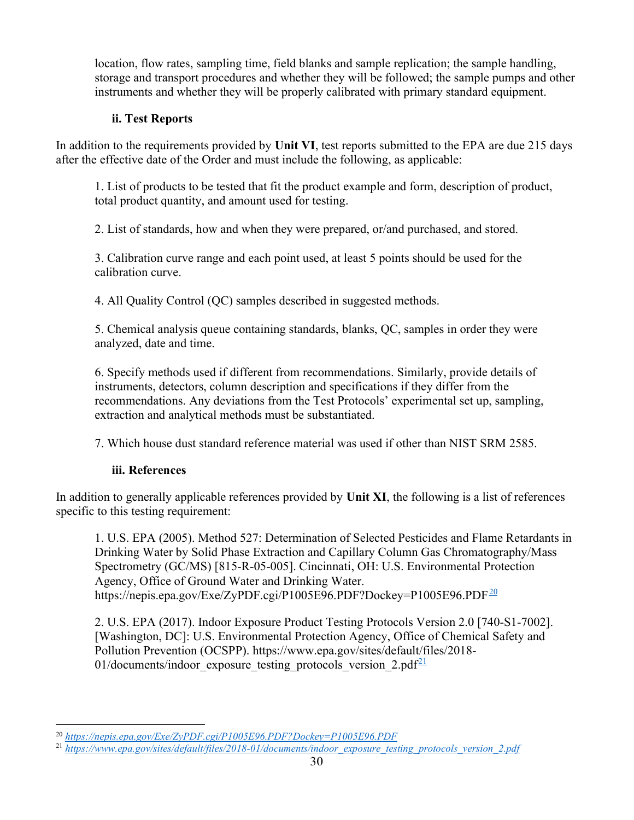location, flow rates, sampling time, field blanks and sample replication; the sample handling, storage and transport procedures and whether they will be followed; the sample pumps and other instruments and whether they will be properly calibrated with primary standard equipment.

## ii. Test Reports

In addition to the requirements provided by Unit VI, test reports submitted to the EPA are due 215 days after the effective date of the Order and must include the following, as applicable:

1. List of products to be tested that fit the product example and form, description of product, total product quantity, and amount used for testing.

2. List of standards, how and when they were prepared, or/and purchased, and stored.

3. Calibration curve range and each point used, at least 5 points should be used for the calibration curve.

4. All Quality Control (QC) samples described in suggested methods.

5. Chemical analysis queue containing standards, blanks, QC, samples in order they were analyzed, date and time.

6. Specify methods used if different from recommendations. Similarly, provide details of instruments, detectors, column description and specifications if they differ from the recommendations. Any deviations from the Test Protocols' experimental set up, sampling, extraction and analytical methods must be substantiated.

7. Which house dust standard reference material was used if other than NIST SRM 2585.

# iii. References

In addition to generally applicable references provided by Unit XI, the following is a list of references specific to this testing requirement:

1. U.S. EPA (2005). Method 527: Determination of Selected Pesticides and Flame Retardants in Drinking Water by Solid Phase Extraction and Capillary Column Gas Chromatography/Mass Spectrometry (GC/MS) [815-R-05-005]. Cincinnati, OH: U.S. Environmental Protection Agency, Office of Ground Water and Drinking Water. https://nepis.epa.gov/Exe/ZyPDF.cgi/P1005E96.PDF?Dockey=P1005E96.PDF<sup>20</sup>

2. U.S. EPA (2017). Indoor Exposure Product Testing Protocols Version 2.0 [740-S1-7002]. [Washington, DC]: U.S. Environmental Protection Agency, Office of Chemical Safety and Pollution Prevention (OCSPP). https://www.epa.gov/sites/default/files/2018- 01/documents/indoor exposure testing protocols version  $2.pdf<sup>21</sup>$ 

<sup>20</sup> https://nepis.epa.gov/Exe/ZyPDF.cgi/P1005E96.PDF?Dockey=P1005E96.PDF

<sup>&</sup>lt;sup>21</sup> https://www.epa.gov/sites/default/files/2018-01/documents/indoor\_exposure\_testing\_protocols\_version\_2.pdf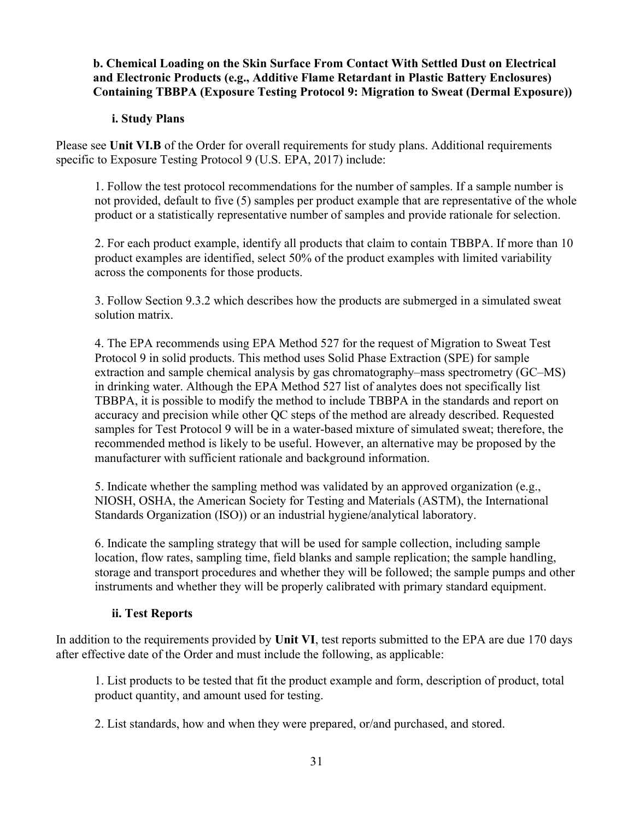## b. Chemical Loading on the Skin Surface From Contact With Settled Dust on Electrical and Electronic Products (e.g., Additive Flame Retardant in Plastic Battery Enclosures) Containing TBBPA (Exposure Testing Protocol 9: Migration to Sweat (Dermal Exposure))

### i. Study Plans

Please see Unit VI.B of the Order for overall requirements for study plans. Additional requirements specific to Exposure Testing Protocol 9 (U.S. EPA, 2017) include:

1. Follow the test protocol recommendations for the number of samples. If a sample number is not provided, default to five (5) samples per product example that are representative of the whole product or a statistically representative number of samples and provide rationale for selection.

2. For each product example, identify all products that claim to contain TBBPA. If more than 10 product examples are identified, select 50% of the product examples with limited variability across the components for those products.

3. Follow Section 9.3.2 which describes how the products are submerged in a simulated sweat solution matrix.

4. The EPA recommends using EPA Method 527 for the request of Migration to Sweat Test Protocol 9 in solid products. This method uses Solid Phase Extraction (SPE) for sample extraction and sample chemical analysis by gas chromatography–mass spectrometry (GC–MS) in drinking water. Although the EPA Method 527 list of analytes does not specifically list TBBPA, it is possible to modify the method to include TBBPA in the standards and report on accuracy and precision while other QC steps of the method are already described. Requested samples for Test Protocol 9 will be in a water-based mixture of simulated sweat; therefore, the recommended method is likely to be useful. However, an alternative may be proposed by the manufacturer with sufficient rationale and background information.

5. Indicate whether the sampling method was validated by an approved organization (e.g., NIOSH, OSHA, the American Society for Testing and Materials (ASTM), the International Standards Organization (ISO)) or an industrial hygiene/analytical laboratory.

6. Indicate the sampling strategy that will be used for sample collection, including sample location, flow rates, sampling time, field blanks and sample replication; the sample handling, storage and transport procedures and whether they will be followed; the sample pumps and other instruments and whether they will be properly calibrated with primary standard equipment.

## ii. Test Reports

In addition to the requirements provided by Unit VI, test reports submitted to the EPA are due 170 days after effective date of the Order and must include the following, as applicable:

1. List products to be tested that fit the product example and form, description of product, total product quantity, and amount used for testing.

2. List standards, how and when they were prepared, or/and purchased, and stored.